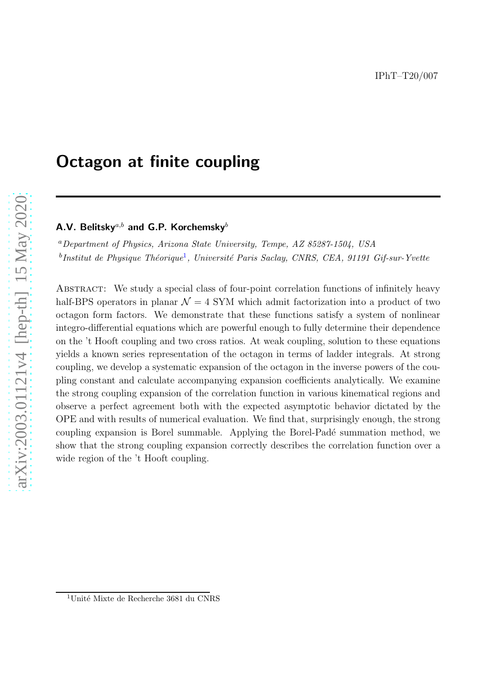# Octagon at finite coupling

## A.V. Belitsky<sup>a,b</sup> and G.P. Korchemsky<sup>b</sup>

<sup>a</sup>Department of Physics, Arizona State University, Tempe, AZ 85287-1504, USA  $^b$ Institut de Physique Théorique<sup>[1](#page-0-0)</sup>, Université Paris Saclay, CNRS, CEA, 91191 Gif-sur-Yvette

ABSTRACT: We study a special class of four-point correlation functions of infinitely heavy half-BPS operators in planar  $\mathcal{N} = 4$  SYM which admit factorization into a product of two octagon form factors. We demonstrate that these functions satisfy a system of nonlinear integro-differential equations which are powerful enough to fully determine their dependence on the 't Hooft coupling and two cross ratios. At weak coupling, solution to these equations yields a known series representation of the octagon in terms of ladder integrals. At strong coupling, we develop a systematic expansion of the octagon in the inverse powers of the coupling constant and calculate accompanying expansion coefficients analytically. We examine the strong coupling expansion of the correlation function in various kinematical regions and observe a perfect agreement both with the expected asymptotic behavior dictated by the OPE and with results of numerical evaluation. We find that, surprisingly enough, the strong coupling expansion is Borel summable. Applying the Borel-Padé summation method, we show that the strong coupling expansion correctly describes the correlation function over a wide region of the 't Hooft coupling.

<span id="page-0-0"></span> $1$ Unité Mixte de Recherche 3681 du CNRS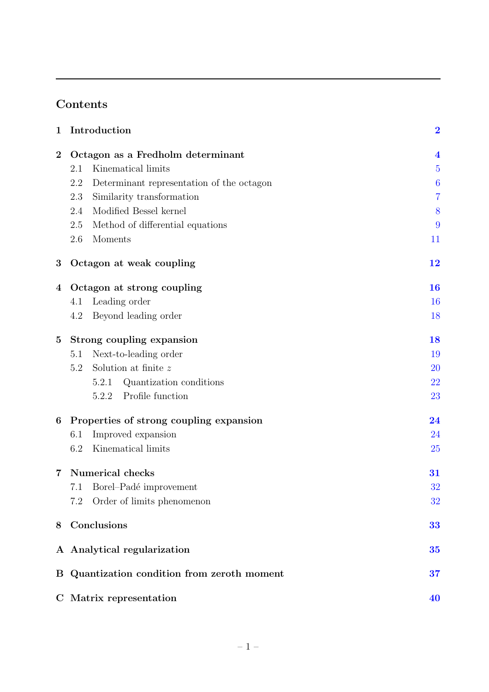## Contents

| $\mathbf 1$    | Introduction                                     | $\overline{\mathbf{2}}$ |
|----------------|--------------------------------------------------|-------------------------|
| $\overline{2}$ | Octagon as a Fredholm determinant                | $\overline{\mathbf{4}}$ |
|                | Kinematical limits<br>2.1                        | $\overline{5}$          |
|                | 2.2<br>Determinant representation of the octagon | 6                       |
|                | 2.3<br>Similarity transformation                 | $\overline{7}$          |
|                | Modified Bessel kernel<br>2.4                    | 8                       |
|                | 2.5<br>Method of differential equations          | 9                       |
|                | 2.6<br>Moments                                   | 11                      |
| 3              | Octagon at weak coupling                         | 12                      |
| 4              | Octagon at strong coupling                       | <b>16</b>               |
|                | Leading order<br>4.1                             | 16                      |
|                | Beyond leading order<br>4.2                      | 18                      |
| $\bf{5}$       | Strong coupling expansion                        | 18                      |
|                | Next-to-leading order<br>5.1                     | 19                      |
|                | Solution at finite $z$<br>5.2                    | 20                      |
|                | Quantization conditions<br>5.2.1                 | 22                      |
|                | Profile function<br>5.2.2                        | 23                      |
| 6              | Properties of strong coupling expansion          | 24                      |
|                | Improved expansion<br>6.1                        | 24                      |
|                | 6.2<br>Kinematical limits                        | 25                      |
| $\overline{7}$ | <b>Numerical checks</b>                          | 31                      |
|                | Borel-Padé improvement<br>7.1                    | 32                      |
|                | Order of limits phenomenon<br>7.2                | 32                      |
| 8              | Conclusions                                      | 33                      |
|                | A Analytical regularization                      | 35                      |
| $\bf{B}$       | Quantization condition from zeroth moment        | 37                      |
|                | C Matrix representation                          | 40                      |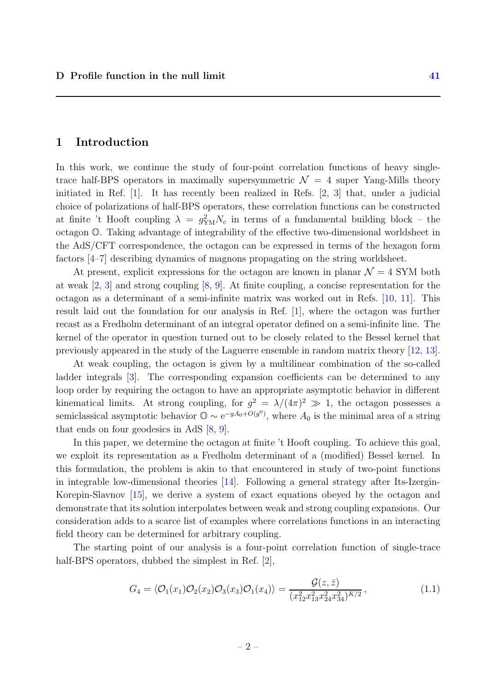## <span id="page-2-0"></span>1 Introduction

In this work, we continue the study of four-point correlation functions of heavy singletrace half-BPS operators in maximally supersymmetric  $\mathcal{N} = 4$  super Yang-Mills theory initiated in Ref. [\[1\]](#page-42-0). It has recently been realized in Refs. [\[2](#page-42-1), [3](#page-42-2)] that, under a judicial choice of polarizations of half-BPS operators, these correlation functions can be constructed at finite 't Hooft coupling  $\lambda = g_{YM}^2 N_c$  in terms of a fundamental building block – the octagon O. Taking advantage of integrability of the effective two-dimensional worldsheet in the AdS/CFT correspondence, the octagon can be expressed in terms of the hexagon form factors [\[4](#page-42-3)[–7\]](#page-42-4) describing dynamics of magnons propagating on the string worldsheet.

At present, explicit expressions for the octagon are known in planar  $\mathcal{N} = 4$  SYM both at weak [\[2,](#page-42-1) [3](#page-42-2)] and strong coupling [\[8,](#page-42-5) [9\]](#page-43-0). At finite coupling, a concise representation for the octagon as a determinant of a semi-infinite matrix was worked out in Refs. [\[10,](#page-43-1) [11](#page-43-2)]. This result laid out the foundation for our analysis in Ref. [\[1\]](#page-42-0), where the octagon was further recast as a Fredholm determinant of an integral operator defined on a semi-infinite line. The kernel of the operator in question turned out to be closely related to the Bessel kernel that previously appeared in the study of the Laguerre ensemble in random matrix theory [\[12,](#page-43-3) [13](#page-43-4)].

At weak coupling, the octagon is given by a multilinear combination of the so-called ladder integrals [\[3](#page-42-2)]. The corresponding expansion coefficients can be determined to any loop order by requiring the octagon to have an appropriate asymptotic behavior in different kinematical limits. At strong coupling, for  $g^2 = \lambda/(4\pi)^2 \gg 1$ , the octagon possesses a semiclassical asymptotic behavior  $\mathbb{O} \sim e^{-gA_0+O(g^0)}$ , where  $A_0$  is the minimal area of a string that ends on four geodesics in AdS [\[8,](#page-42-5) [9\]](#page-43-0).

In this paper, we determine the octagon at finite 't Hooft coupling. To achieve this goal, we exploit its representation as a Fredholm determinant of a (modified) Bessel kernel. In this formulation, the problem is akin to that encountered in study of two-point functions in integrable low-dimensional theories [\[14](#page-43-5)]. Following a general strategy after Its-Izergin-Korepin-Slavnov [\[15\]](#page-43-6), we derive a system of exact equations obeyed by the octagon and demonstrate that its solution interpolates between weak and strong coupling expansions. Our consideration adds to a scarce list of examples where correlations functions in an interacting field theory can be determined for arbitrary coupling.

The starting point of our analysis is a four-point correlation function of single-trace half-BPS operators, dubbed the simplest in Ref. [\[2\]](#page-42-1),

<span id="page-2-1"></span>
$$
G_4 = \langle \mathcal{O}_1(x_1)\mathcal{O}_2(x_2)\mathcal{O}_3(x_3)\mathcal{O}_1(x_4) \rangle = \frac{\mathcal{G}(z,\bar{z})}{(x_{12}^2 x_{13}^2 x_{24}^2 x_{34}^2)^{K/2}},
$$
(1.1)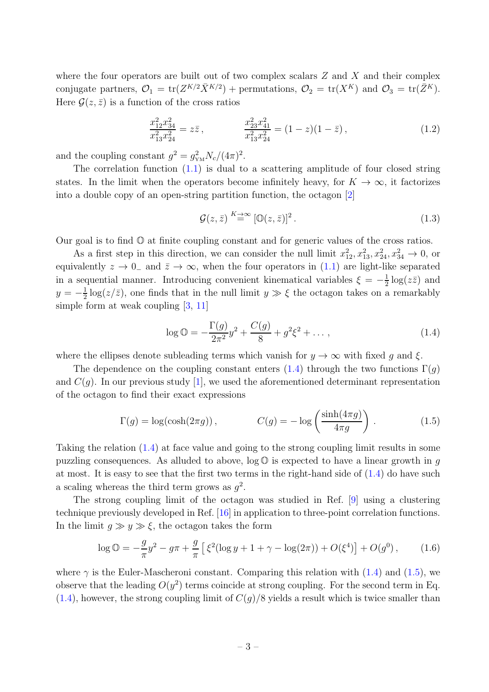where the four operators are built out of two complex scalars  $Z$  and  $X$  and their complex conjugate partners,  $\mathcal{O}_1 = \text{tr}(Z^{K/2}\overline{X}^{K/2}) + \text{permutations}, \ \mathcal{O}_2 = \text{tr}(X^K)$  and  $\mathcal{O}_3 = \text{tr}(\overline{Z}^K)$ . Here  $\mathcal{G}(z,\bar{z})$  is a function of the cross ratios

$$
\frac{x_{12}^2 x_{34}^2}{x_{13}^2 x_{24}^2} = z\bar{z} ,\qquad \frac{x_{23}^2 x_{41}^2}{x_{13}^2 x_{24}^2} = (1-z)(1-\bar{z}) ,\qquad (1.2)
$$

and the coupling constant  $g^2 = g_{\text{YM}}^2 N_c / (4\pi)^2$ .

The correlation function  $(1.1)$  is dual to a scattering amplitude of four closed string states. In the limit when the operators become infinitely heavy, for  $K \to \infty$ , it factorizes into a double copy of an open-string partition function, the octagon [\[2\]](#page-42-1)

<span id="page-3-3"></span><span id="page-3-0"></span>
$$
\mathcal{G}(z,\bar{z}) \stackrel{K \to \infty}{=} [\mathbb{O}(z,\bar{z})]^2.
$$
 (1.3)

Our goal is to find O at finite coupling constant and for generic values of the cross ratios.

As a first step in this direction, we can consider the null limit  $x_1^2, x_1^2, x_2^2, x_3^2 \to 0$ , or equivalently  $z \to 0^-$  and  $\bar{z} \to \infty$ , when the four operators in [\(1.1\)](#page-2-1) are light-like separated in a sequential manner. Introducing convenient kinematical variables  $\xi = -\frac{1}{2}$  $\frac{1}{2}\log(z\overline{z})$  and  $y = -\frac{1}{2}$  $\frac{1}{2}$ log( $z/\overline{z}$ ), one finds that in the null limit  $y \gg \xi$  the octagon takes on a remarkably simple form at weak coupling [\[3,](#page-42-2) [11\]](#page-43-2)

<span id="page-3-1"></span>
$$
\log \mathbb{O} = -\frac{\Gamma(g)}{2\pi^2}y^2 + \frac{C(g)}{8} + g^2\xi^2 + \dots, \qquad (1.4)
$$

where the ellipses denote subleading terms which vanish for  $y \to \infty$  with fixed g and  $\xi$ .

The dependence on the coupling constant enters [\(1.4\)](#page-3-0) through the two functions  $\Gamma(g)$ and  $C(q)$ . In our previous study [\[1\]](#page-42-0), we used the aforementioned determinant representation of the octagon to find their exact expressions

$$
\Gamma(g) = \log(\cosh(2\pi g)), \qquad C(g) = -\log\left(\frac{\sinh(4\pi g)}{4\pi g}\right). \tag{1.5}
$$

Taking the relation [\(1.4\)](#page-3-0) at face value and going to the strong coupling limit results in some puzzling consequences. As alluded to above,  $\log \mathbb{O}$  is expected to have a linear growth in g at most. It is easy to see that the first two terms in the right-hand side of [\(1.4\)](#page-3-0) do have such a scaling whereas the third term grows as  $g^2$ .

The strong coupling limit of the octagon was studied in Ref. [\[9\]](#page-43-0) using a clustering technique previously developed in Ref. [\[16](#page-43-7)] in application to three-point correlation functions. In the limit  $g \gg y \gg \xi$ , the octagon takes the form

<span id="page-3-2"></span>
$$
\log \mathbb{O} = -\frac{g}{\pi}y^2 - g\pi + \frac{g}{\pi} \left[ \xi^2 (\log y + 1 + \gamma - \log(2\pi)) + O(\xi^4) \right] + O(g^0), \tag{1.6}
$$

where  $\gamma$  is the Euler-Mascheroni constant. Comparing this relation with [\(1.4\)](#page-3-0) and [\(1.5\)](#page-3-1), we observe that the leading  $O(y^2)$  terms coincide at strong coupling. For the second term in Eq.  $(1.4)$ , however, the strong coupling limit of  $C(q)/8$  yields a result which is twice smaller than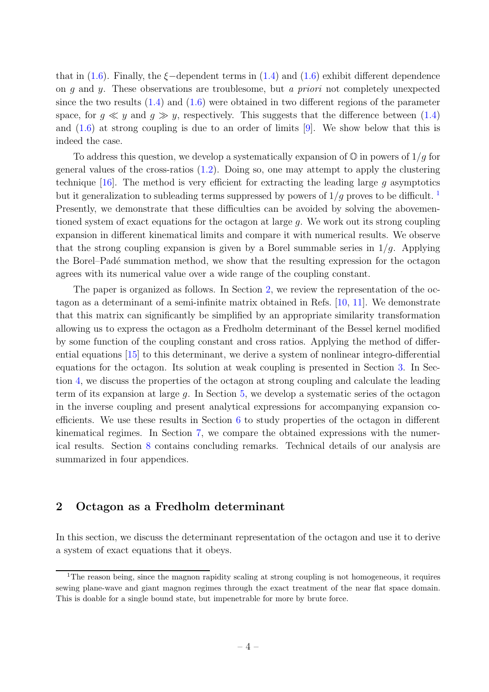that in [\(1.6\)](#page-3-2). Finally, the  $\xi$ -dependent terms in [\(1.4\)](#page-3-0) and (1.6) exhibit different dependence on  $g$  and  $y$ . These observations are troublesome, but a priori not completely unexpected since the two results  $(1.4)$  and  $(1.6)$  were obtained in two different regions of the parameter space, for  $g \ll y$  and  $g \gg y$ , respectively. This suggests that the difference between [\(1.4\)](#page-3-0) and  $(1.6)$  at strong coupling is due to an order of limits  $[9]$ . We show below that this is indeed the case.

To address this question, we develop a systematically expansion of  $\mathbb{O}$  in powers of  $1/g$  for general values of the cross-ratios [\(1.2\)](#page-3-3). Doing so, one may attempt to apply the clustering technique [\[16](#page-43-7)]. The method is very efficient for extracting the leading large g asymptotics but it generalization to subleading terms suppressed by powers of  $1/q$  $1/q$  proves to be difficult. <sup>1</sup> Presently, we demonstrate that these difficulties can be avoided by solving the abovementioned system of exact equations for the octagon at large g. We work out its strong coupling expansion in different kinematical limits and compare it with numerical results. We observe that the strong coupling expansion is given by a Borel summable series in  $1/q$ . Applying the Borel–Padé summation method, we show that the resulting expression for the octagon agrees with its numerical value over a wide range of the coupling constant.

The paper is organized as follows. In Section [2,](#page-4-0) we review the representation of the octagon as a determinant of a semi-infinite matrix obtained in Refs. [\[10](#page-43-1), [11](#page-43-2)]. We demonstrate that this matrix can significantly be simplified by an appropriate similarity transformation allowing us to express the octagon as a Fredholm determinant of the Bessel kernel modified by some function of the coupling constant and cross ratios. Applying the method of differential equations [\[15\]](#page-43-6) to this determinant, we derive a system of nonlinear integro-differential equations for the octagon. Its solution at weak coupling is presented in Section [3.](#page-12-0) In Section [4,](#page-16-0) we discuss the properties of the octagon at strong coupling and calculate the leading term of its expansion at large q. In Section  $5$ , we develop a systematic series of the octagon in the inverse coupling and present analytical expressions for accompanying expansion coefficients. We use these results in Section [6](#page-24-0) to study properties of the octagon in different kinematical regimes. In Section [7,](#page-31-0) we compare the obtained expressions with the numerical results. Section [8](#page-33-0) contains concluding remarks. Technical details of our analysis are summarized in four appendices.

## <span id="page-4-0"></span>2 Octagon as a Fredholm determinant

In this section, we discuss the determinant representation of the octagon and use it to derive a system of exact equations that it obeys.

<span id="page-4-1"></span><sup>&</sup>lt;sup>1</sup>The reason being, since the magnon rapidity scaling at strong coupling is not homogeneous, it requires sewing plane-wave and giant magnon regimes through the exact treatment of the near flat space domain. This is doable for a single bound state, but impenetrable for more by brute force.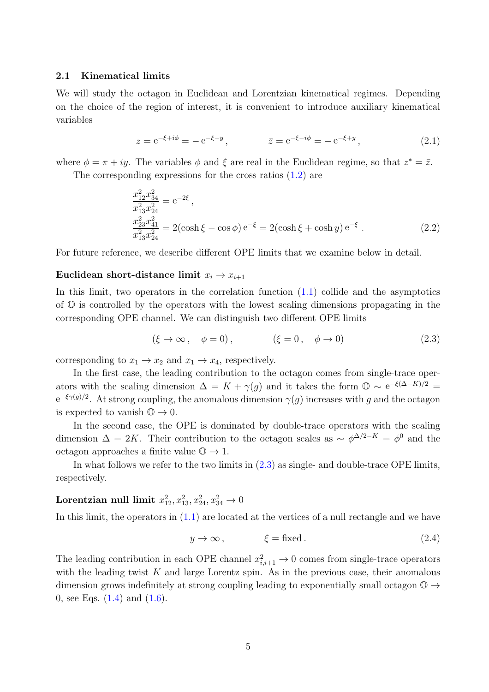#### <span id="page-5-0"></span>2.1 Kinematical limits

We will study the octagon in Euclidean and Lorentzian kinematical regimes. Depending on the choice of the region of interest, it is convenient to introduce auxiliary kinematical variables

<span id="page-5-3"></span>
$$
z = e^{-\xi + i\phi} = -e^{-\xi - y}, \qquad \bar{z} = e^{-\xi - i\phi} = -e^{-\xi + y}, \qquad (2.1)
$$

where  $\phi = \pi + iy$ . The variables  $\phi$  and  $\xi$  are real in the Euclidean regime, so that  $z^* = \overline{z}$ .

The corresponding expressions for the cross ratios [\(1.2\)](#page-3-3) are

<span id="page-5-2"></span>
$$
\frac{x_{12}^2 x_{34}^2}{x_{13}^2 x_{24}^2} = e^{-2\xi},
$$
  
\n
$$
\frac{x_{23}^2 x_{41}^2}{x_{13}^2 x_{24}^2} = 2(\cosh \xi - \cos \phi) e^{-\xi} = 2(\cosh \xi + \cosh y) e^{-\xi}.
$$
\n(2.2)

For future reference, we describe different OPE limits that we examine below in detail.

#### Euclidean short-distance limit  $x_i \rightarrow x_{i+1}$

In this limit, two operators in the correlation function  $(1.1)$  collide and the asymptotics of  $\mathbb O$  is controlled by the operators with the lowest scaling dimensions propagating in the corresponding OPE channel. We can distinguish two different OPE limits

<span id="page-5-1"></span>
$$
(\xi \to \infty, \quad \phi = 0), \qquad (\xi = 0, \quad \phi \to 0) \tag{2.3}
$$

corresponding to  $x_1 \rightarrow x_2$  and  $x_1 \rightarrow x_4$ , respectively.

In the first case, the leading contribution to the octagon comes from single-trace operators with the scaling dimension  $\Delta = K + \gamma(g)$  and it takes the form  $\mathbb{O} \sim e^{-\xi(\Delta - K)/2}$  $e^{-\xi \gamma(g)/2}$ . At strong coupling, the anomalous dimension  $\gamma(g)$  increases with g and the octagon is expected to vanish  $\mathbb{O} \to 0$ .

In the second case, the OPE is dominated by double-trace operators with the scaling dimension  $\Delta = 2K$ . Their contribution to the octagon scales as  $\sim \phi^{\Delta/2-K} = \phi^0$  and the octagon approaches a finite value  $\mathbb{O} \rightarrow 1$ .

In what follows we refer to the two limits in  $(2.3)$  as single- and double-trace OPE limits, respectively.

## Lorentzian null limit  $x_{12}^2, x_{13}^2, x_{24}^2, x_{34}^2 \rightarrow 0$

In this limit, the operators in  $(1.1)$  are located at the vertices of a null rectangle and we have

$$
y \to \infty, \qquad \qquad \xi = \text{fixed}. \tag{2.4}
$$

The leading contribution in each OPE channel  $x_{i,i+1}^2 \to 0$  comes from single-trace operators with the leading twist  $K$  and large Lorentz spin. As in the previous case, their anomalous dimension grows indefinitely at strong coupling leading to exponentially small octagon  $\mathbb{O} \rightarrow$ 0, see Eqs.  $(1.4)$  and  $(1.6)$ .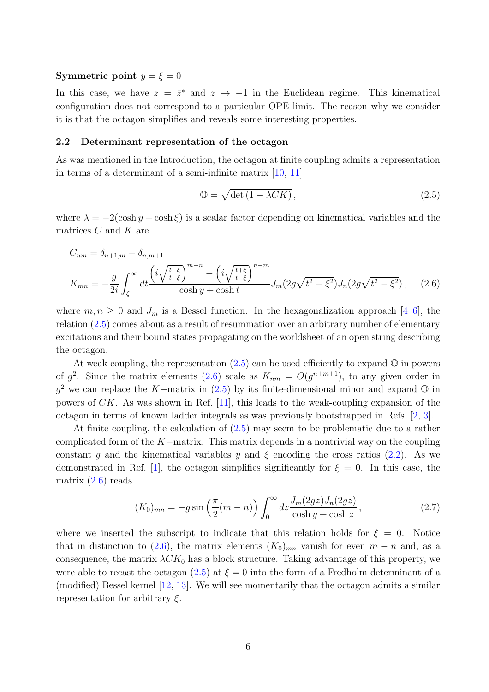#### Symmetric point  $y = \xi = 0$

In this case, we have  $z = \bar{z}^*$  and  $z \to -1$  in the Euclidean regime. This kinematical configuration does not correspond to a particular OPE limit. The reason why we consider it is that the octagon simplifies and reveals some interesting properties.

#### <span id="page-6-0"></span>2.2 Determinant representation of the octagon

As was mentioned in the Introduction, the octagon at finite coupling admits a representation in terms of a determinant of a semi-infinite matrix [\[10,](#page-43-1) [11\]](#page-43-2)

<span id="page-6-2"></span><span id="page-6-1"></span>
$$
\mathbb{O} = \sqrt{\det(1 - \lambda C K)},\tag{2.5}
$$

where  $\lambda = -2(\cosh y + \cosh \xi)$  is a scalar factor depending on kinematical variables and the matrices  $C$  and  $K$  are

$$
C_{nm} = \delta_{n+1,m} - \delta_{n,m+1}
$$
  
\n
$$
K_{mn} = -\frac{g}{2i} \int_{\xi}^{\infty} dt \frac{\left(i\sqrt{\frac{t+\xi}{t-\xi}}\right)^{m-n} - \left(i\sqrt{\frac{t+\xi}{t-\xi}}\right)^{n-m}}{\cosh y + \cosh t} J_m(2g\sqrt{t^2 - \xi^2}) J_n(2g\sqrt{t^2 - \xi^2}), \quad (2.6)
$$

where  $m, n \geq 0$  and  $J_m$  is a Bessel function. In the hexagonalization approach [\[4](#page-42-3)[–6](#page-42-6)], the relation [\(2.5\)](#page-6-1) comes about as a result of resummation over an arbitrary number of elementary excitations and their bound states propagating on the worldsheet of an open string describing the octagon.

At weak coupling, the representation  $(2.5)$  can be used efficiently to expand  $\mathbb{O}$  in powers of  $g^2$ . Since the matrix elements [\(2.6\)](#page-6-2) scale as  $K_{nm} = O(g^{n+m+1})$ , to any given order in  $g^2$  we can replace the K–matrix in [\(2.5\)](#page-6-1) by its finite-dimensional minor and expand  $\mathbb O$  in powers of  $CK$ . As was shown in Ref. [\[11\]](#page-43-2), this leads to the weak-coupling expansion of the octagon in terms of known ladder integrals as was previously bootstrapped in Refs. [\[2](#page-42-1), [3](#page-42-2)].

At finite coupling, the calculation of  $(2.5)$  may seem to be problematic due to a rather complicated form of the  $K$ -matrix. This matrix depends in a nontrivial way on the coupling constant q and the kinematical variables y and  $\xi$  encoding the cross ratios [\(2.2\)](#page-5-2). As we demonstrated in Ref. [\[1](#page-42-0)], the octagon simplifies significantly for  $\xi = 0$ . In this case, the matrix [\(2.6\)](#page-6-2) reads

<span id="page-6-3"></span>
$$
(K_0)_{mn} = -g\sin\left(\frac{\pi}{2}(m-n)\right)\int_0^\infty dz \frac{J_m(2gz)J_n(2gz)}{\cosh y + \cosh z},\qquad(2.7)
$$

where we inserted the subscript to indicate that this relation holds for  $\xi = 0$ . Notice that in distinction to [\(2.6\)](#page-6-2), the matrix elements  $(K_0)_{mn}$  vanish for even  $m - n$  and, as a consequence, the matrix  $\lambda CK_0$  has a block structure. Taking advantage of this property, we were able to recast the octagon [\(2.5\)](#page-6-1) at  $\xi = 0$  into the form of a Fredholm determinant of a (modified) Bessel kernel [\[12](#page-43-3), [13\]](#page-43-4). We will see momentarily that the octagon admits a similar representation for arbitrary  $\xi$ .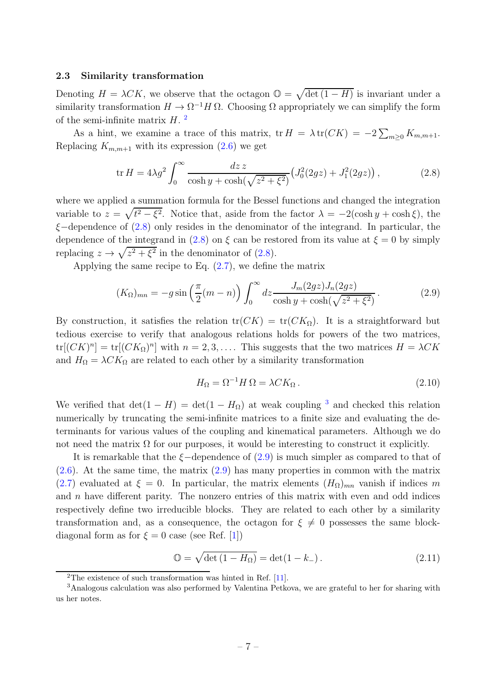#### <span id="page-7-0"></span>2.3 Similarity transformation

Denoting  $H = \lambda C K$ , we observe that the octagon  $\mathbb{O} = \sqrt{\det(1 - H)}$  is invariant under a similarity transformation  $H \to \Omega^{-1}H \Omega$ . Choosing  $\Omega$  appropriately we can simplify the form of the semi-infinite matrix  $H$ .<sup>[2](#page-7-1)</sup>

As a hint, we examine a trace of this matrix,  $tr H = \lambda tr(CK) = -2\sum_{m\geq 0} K_{m,m+1}$ . Replacing  $K_{m,m+1}$  with its expression [\(2.6\)](#page-6-2) we get

<span id="page-7-2"></span>
$$
\text{tr}\,H = 4\lambda g^2 \int_0^\infty \frac{dz\,z}{\cosh y + \cosh(\sqrt{z^2 + \xi^2})} \left( J_0^2(2gz) + J_1^2(2gz) \right),\tag{2.8}
$$

where we applied a summation formula for the Bessel functions and changed the integration variable to  $z = \sqrt{t^2 - \xi^2}$ . Notice that, aside from the factor  $\lambda = -2(\cosh y + \cosh \xi)$ , the ξ−dependence of [\(2.8\)](#page-7-2) only resides in the denominator of the integrand. In particular, the dependence of the integrand in [\(2.8\)](#page-7-2) on  $\xi$  can be restored from its value at  $\xi = 0$  by simply replacing  $z \to \sqrt{z^2 + \xi^2}$  in the denominator of [\(2.8\)](#page-7-2).

Applying the same recipe to Eq. [\(2.7\)](#page-6-3), we define the matrix

$$
(K_{\Omega})_{mn} = -g\sin\left(\frac{\pi}{2}(m-n)\right)\int_0^\infty dz \frac{J_m(2gz)J_n(2gz)}{\cosh y + \cosh(\sqrt{z^2 + \xi^2})}.
$$
\n(2.9)

By construction, it satisfies the relation  $tr(CK) = tr(CK_0)$ . It is a straightforward but tedious exercise to verify that analogous relations holds for powers of the two matrices,  $tr[(CK)^n] = tr[(CK_{\Omega})^n]$  with  $n = 2, 3, \ldots$ . This suggests that the two matrices  $H = \lambda CK$ and  $H_{\Omega} = \lambda C K_{\Omega}$  are related to each other by a similarity transformation

<span id="page-7-5"></span><span id="page-7-4"></span>
$$
H_{\Omega} = \Omega^{-1} H \Omega = \lambda C K_{\Omega}.
$$
\n(2.10)

We verified that  $\det(1 - H) = \det(1 - H_{\Omega})$  at weak coupling <sup>[3](#page-7-3)</sup> and checked this relation numerically by truncating the semi-infinite matrices to a finite size and evaluating the determinants for various values of the coupling and kinematical parameters. Although we do not need the matrix  $\Omega$  for our purposes, it would be interesting to construct it explicitly.

It is remarkable that the  $\xi$ −dependence of [\(2.9\)](#page-7-4) is much simpler as compared to that of  $(2.6)$ . At the same time, the matrix  $(2.9)$  has many properties in common with the matrix [\(2.7\)](#page-6-3) evaluated at  $\xi = 0$ . In particular, the matrix elements  $(H_{\Omega})_{mn}$  vanish if indices m and  $n$  have different parity. The nonzero entries of this matrix with even and odd indices respectively define two irreducible blocks. They are related to each other by a similarity transformation and, as a consequence, the octagon for  $\xi \neq 0$  possesses the same blockdiagonal form as for  $\xi = 0$  case (see Ref. [\[1\]](#page-42-0))

<span id="page-7-6"></span>
$$
\mathbb{O} = \sqrt{\det(1 - H_{\Omega})} = \det(1 - k_{-}).
$$
\n(2.11)

<span id="page-7-1"></span><sup>2</sup>The existence of such transformation was hinted in Ref. [\[11\]](#page-43-2).

<span id="page-7-3"></span><sup>3</sup>Analogous calculation was also performed by Valentina Petkova, we are grateful to her for sharing with us her notes.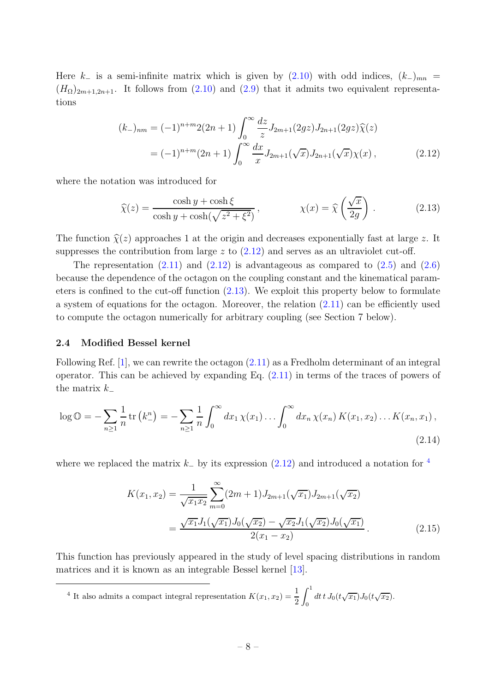Here k− is a semi-infinite matrix which is given by  $(2.10)$  with odd indices,  $(k_-)_{mn}$  =  $(H_{\Omega})_{2m+1,2n+1}$ . It follows from  $(2.10)$  and  $(2.9)$  that it admits two equivalent representations

<span id="page-8-1"></span>
$$
(k_{-})_{nm} = (-1)^{n+m} 2(2n+1) \int_0^{\infty} \frac{dz}{z} J_{2m+1}(2gz) J_{2n+1}(2gz) \widehat{\chi}(z)
$$
  
=  $(-1)^{n+m} (2n+1) \int_0^{\infty} \frac{dx}{x} J_{2m+1}(\sqrt{x}) J_{2n+1}(\sqrt{x}) \chi(x),$  (2.12)

where the notation was introduced for

<span id="page-8-2"></span>
$$
\widehat{\chi}(z) = \frac{\cosh y + \cosh \xi}{\cosh y + \cosh(\sqrt{z^2 + \xi^2})}, \qquad \chi(x) = \widehat{\chi}\left(\frac{\sqrt{x}}{2g}\right). \tag{2.13}
$$

The function  $\hat{\chi}(z)$  approaches 1 at the origin and decreases exponentially fast at large z. It suppresses the contribution from large  $z$  to  $(2.12)$  and serves as an ultraviolet cut-off.

The representation  $(2.11)$  and  $(2.12)$  is advantageous as compared to  $(2.5)$  and  $(2.6)$ because the dependence of the octagon on the coupling constant and the kinematical parameters is confined to the cut-off function [\(2.13\)](#page-8-2). We exploit this property below to formulate a system of equations for the octagon. Moreover, the relation [\(2.11\)](#page-7-6) can be efficiently used to compute the octagon numerically for arbitrary coupling (see Section 7 below).

#### <span id="page-8-0"></span>2.4 Modified Bessel kernel

Following Ref.  $[1]$ , we can rewrite the octagon  $(2.11)$  as a Fredholm determinant of an integral operator. This can be achieved by expanding Eq. [\(2.11\)](#page-7-6) in terms of the traces of powers of the matrix  $k_$ 

$$
\log \mathbb{O} = -\sum_{n\geq 1} \frac{1}{n} \operatorname{tr}\left(k_{-}^{n}\right) = -\sum_{n\geq 1} \frac{1}{n} \int_{0}^{\infty} dx_{1} \chi(x_{1}) \dots \int_{0}^{\infty} dx_{n} \chi(x_{n}) K(x_{1}, x_{2}) \dots K(x_{n}, x_{1}),
$$
\n(2.14)

where we replaced the matrix  $k_-\,$  by its expression [\(2.12\)](#page-8-1) and introduced a notation for  $\rm$ <sup>[4](#page-8-3)</sup>

<span id="page-8-5"></span><span id="page-8-4"></span>
$$
K(x_1, x_2) = \frac{1}{\sqrt{x_1 x_2}} \sum_{m=0}^{\infty} (2m+1) J_{2m+1}(\sqrt{x_1}) J_{2m+1}(\sqrt{x_2})
$$
  
= 
$$
\frac{\sqrt{x_1} J_1(\sqrt{x_1}) J_0(\sqrt{x_2}) - \sqrt{x_2} J_1(\sqrt{x_2}) J_0(\sqrt{x_1})}{2(x_1 - x_2)}.
$$
 (2.15)

This function has previously appeared in the study of level spacing distributions in random matrices and it is known as an integrable Bessel kernel [\[13\]](#page-43-4).

<span id="page-8-3"></span><sup>4</sup> It also admits a compact integral representation  $K(x_1, x_2) = \frac{1}{2}$  $\int_0^1$  $\int_0^{\pi} dt \, t \, J_0(t\sqrt{x_1}) J_0(t\sqrt{x_2}).$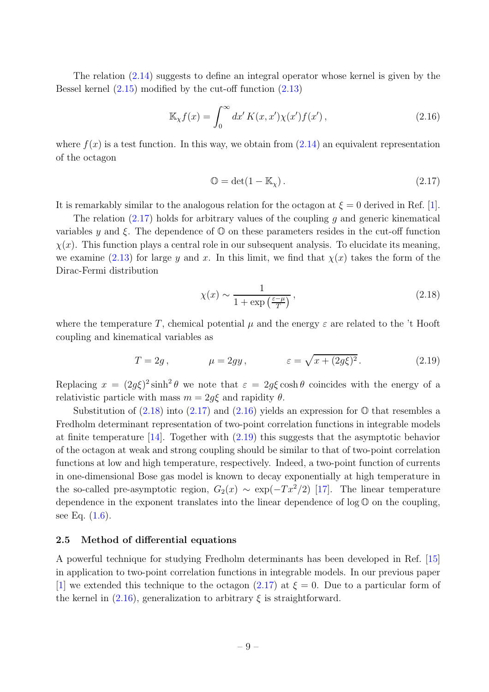The relation [\(2.14\)](#page-8-4) suggests to define an integral operator whose kernel is given by the Bessel kernel  $(2.15)$  modified by the cut-off function  $(2.13)$ 

$$
\mathbb{K}_{\chi}f(x) = \int_0^\infty dx' K(x, x')\chi(x')f(x'), \qquad (2.16)
$$

where  $f(x)$  is a test function. In this way, we obtain from  $(2.14)$  an equivalent representation of the octagon

<span id="page-9-3"></span><span id="page-9-1"></span>
$$
\mathbb{O} = \det(1 - \mathbb{K}_{\chi}).\tag{2.17}
$$

It is remarkably similar to the analogous relation for the octagon at  $\xi = 0$  derived in Ref. [\[1](#page-42-0)].

The relation  $(2.17)$  holds for arbitrary values of the coupling q and generic kinematical variables y and  $\xi$ . The dependence of  $\mathbb{O}$  on these parameters resides in the cut-off function  $\chi(x)$ . This function plays a central role in our subsequent analysis. To elucidate its meaning, we examine [\(2.13\)](#page-8-2) for large y and x. In this limit, we find that  $\chi(x)$  takes the form of the Dirac-Fermi distribution

<span id="page-9-4"></span><span id="page-9-2"></span>
$$
\chi(x) \sim \frac{1}{1 + \exp\left(\frac{\varepsilon - \mu}{T}\right)},\tag{2.18}
$$

where the temperature T, chemical potential  $\mu$  and the energy  $\varepsilon$  are related to the 't Hooft coupling and kinematical variables as

$$
T = 2g, \qquad \qquad \mu = 2gy, \qquad \qquad \varepsilon = \sqrt{x + (2g\xi)^2}.
$$
 (2.19)

Replacing  $x = (2g\xi)^2 \sinh^2 \theta$  we note that  $\varepsilon = 2g\xi \cosh \theta$  coincides with the energy of a relativistic particle with mass  $m = 2g\xi$  and rapidity  $\theta$ .

Substitution of  $(2.18)$  into  $(2.17)$  and  $(2.16)$  yields an expression for  $\mathbb{O}$  that resembles a Fredholm determinant representation of two-point correlation functions in integrable models at finite temperature [\[14](#page-43-5)]. Together with [\(2.19\)](#page-9-4) this suggests that the asymptotic behavior of the octagon at weak and strong coupling should be similar to that of two-point correlation functions at low and high temperature, respectively. Indeed, a two-point function of currents in one-dimensional Bose gas model is known to decay exponentially at high temperature in the so-called pre-asymptotic region,  $G_2(x) \sim \exp(-Tx^2/2)$  [\[17](#page-43-8)]. The linear temperature dependence in the exponent translates into the linear dependence of log O on the coupling, see Eq.  $(1.6)$ .

#### <span id="page-9-0"></span>2.5 Method of differential equations

A powerful technique for studying Fredholm determinants has been developed in Ref. [\[15\]](#page-43-6) in application to two-point correlation functions in integrable models. In our previous paper [\[1](#page-42-0)] we extended this technique to the octagon  $(2.17)$  at  $\xi = 0$ . Due to a particular form of the kernel in  $(2.16)$ , generalization to arbitrary  $\xi$  is straightforward.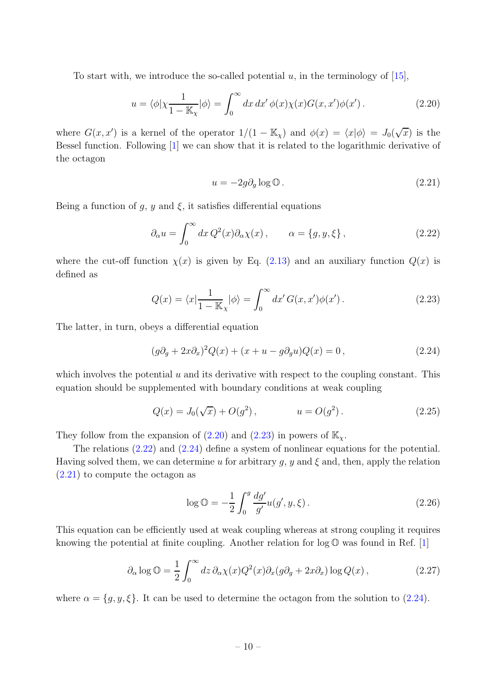To start with, we introduce the so-called potential  $u$ , in the terminology of [\[15](#page-43-6)],

$$
u = \langle \phi | \chi \frac{1}{1 - \mathbb{K}_\chi} | \phi \rangle = \int_0^\infty dx \, dx' \, \phi(x) \chi(x) G(x, x') \phi(x') \,. \tag{2.20}
$$

where  $G(x, x')$  is a kernel of the operator  $1/(1 - K_{\chi})$  and  $\phi(x) = \langle x | \phi \rangle = J_0(\sqrt{x})$  is the Bessel function. Following [\[1\]](#page-42-0) we can show that it is related to the logarithmic derivative of the octagon

<span id="page-10-4"></span><span id="page-10-3"></span><span id="page-10-2"></span><span id="page-10-1"></span><span id="page-10-0"></span>
$$
u = -2g\partial_g \log \mathbb{O} \,. \tag{2.21}
$$

Being a function of g, y and  $\xi$ , it satisfies differential equations

$$
\partial_{\alpha} u = \int_0^{\infty} dx \, Q^2(x) \partial_{\alpha} \chi(x) , \qquad \alpha = \{g, y, \xi\} , \qquad (2.22)
$$

where the cut-off function  $\chi(x)$  is given by Eq. [\(2.13\)](#page-8-2) and an auxiliary function  $Q(x)$  is defined as

$$
Q(x) = \langle x | \frac{1}{1 - \mathbb{K}_\chi} | \phi \rangle = \int_0^\infty dx' \, G(x, x') \phi(x') \,. \tag{2.23}
$$

The latter, in turn, obeys a differential equation

$$
(g\partial_g + 2x\partial_x)^2 Q(x) + (x + u - g\partial_g u)Q(x) = 0,
$$
\n(2.24)

which involves the potential  $u$  and its derivative with respect to the coupling constant. This equation should be supplemented with boundary conditions at weak coupling

$$
Q(x) = J_0(\sqrt{x}) + O(g^2), \qquad u = O(g^2). \qquad (2.25)
$$

They follow from the expansion of  $(2.20)$  and  $(2.23)$  in powers of  $\mathbb{K}_{\gamma}$ .

The relations [\(2.22\)](#page-10-2) and [\(2.24\)](#page-10-3) define a system of nonlinear equations for the potential. Having solved them, we can determine u for arbitrary g, y and  $\xi$  and, then, apply the relation [\(2.21\)](#page-10-4) to compute the octagon as

<span id="page-10-7"></span><span id="page-10-6"></span><span id="page-10-5"></span>
$$
\log \mathbb{O} = -\frac{1}{2} \int_0^g \frac{dg'}{g'} u(g', y, \xi).
$$
 (2.26)

This equation can be efficiently used at weak coupling whereas at strong coupling it requires knowing the potential at finite coupling. Another relation for  $\log \mathbb{O}$  was found in Ref. [\[1](#page-42-0)]

$$
\partial_{\alpha} \log \mathbb{O} = \frac{1}{2} \int_0^{\infty} dz \, \partial_{\alpha} \chi(x) Q^2(x) \partial_x (g \partial_g + 2x \partial_x) \log Q(x) , \qquad (2.27)
$$

where  $\alpha = \{g, y, \xi\}$ . It can be used to determine the octagon from the solution to [\(2.24\)](#page-10-3).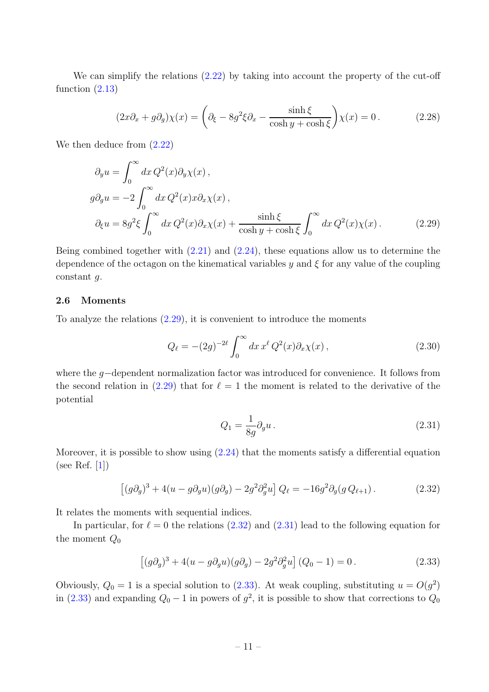We can simplify the relations  $(2.22)$  by taking into account the property of the cut-off function [\(2.13\)](#page-8-2)

$$
(2x\partial_x + g\partial_y)\chi(x) = \left(\partial_{\xi} - 8g^2\xi\partial_x - \frac{\sinh\xi}{\cosh y + \cosh\xi}\right)\chi(x) = 0.
$$
 (2.28)

We then deduce from  $(2.22)$ 

$$
\partial_y u = \int_0^\infty dx \, Q^2(x) \partial_y \chi(x) ,
$$
  
\n
$$
g \partial_g u = -2 \int_0^\infty dx \, Q^2(x) x \partial_x \chi(x) ,
$$
  
\n
$$
\partial_\xi u = 8g^2 \xi \int_0^\infty dx \, Q^2(x) \partial_x \chi(x) + \frac{\sinh \xi}{\cosh y + \cosh \xi} \int_0^\infty dx \, Q^2(x) \chi(x) .
$$
\n(2.29)

Being combined together with [\(2.21\)](#page-10-4) and [\(2.24\)](#page-10-3), these equations allow us to determine the dependence of the octagon on the kinematical variables  $y$  and  $\xi$  for any value of the coupling constant g.

#### <span id="page-11-0"></span>2.6 Moments

To analyze the relations [\(2.29\)](#page-11-1), it is convenient to introduce the moments

<span id="page-11-1"></span>
$$
Q_{\ell} = -(2g)^{-2\ell} \int_0^{\infty} dx \, x^{\ell} \, Q^2(x) \partial_x \chi(x) \,, \tag{2.30}
$$

where the g−dependent normalization factor was introduced for convenience. It follows from the second relation in [\(2.29\)](#page-11-1) that for  $\ell = 1$  the moment is related to the derivative of the potential

<span id="page-11-5"></span><span id="page-11-4"></span><span id="page-11-3"></span><span id="page-11-2"></span>
$$
Q_1 = \frac{1}{8g}\partial_g u\,. \tag{2.31}
$$

Moreover, it is possible to show using  $(2.24)$  that the moments satisfy a differential equation (see Ref. [\[1](#page-42-0)])

$$
\left[ (g\partial_g)^3 + 4(u - g\partial_g u)(g\partial_g) - 2g^2 \partial_g^2 u \right] Q_\ell = -16g^2 \partial_g (g Q_{\ell+1}). \tag{2.32}
$$

It relates the moments with sequential indices.

In particular, for  $\ell = 0$  the relations  $(2.32)$  and  $(2.31)$  lead to the following equation for the moment  $Q_0$ 

$$
[(g\partial_g)^3 + 4(u - g\partial_g u)(g\partial_g) - 2g^2 \partial_g^2 u](Q_0 - 1) = 0.
$$
 (2.33)

Obviously,  $Q_0 = 1$  is a special solution to [\(2.33\)](#page-11-4). At weak coupling, substituting  $u = O(g^2)$ in [\(2.33\)](#page-11-4) and expanding  $Q_0 - 1$  in powers of  $g^2$ , it is possible to show that corrections to  $Q_0$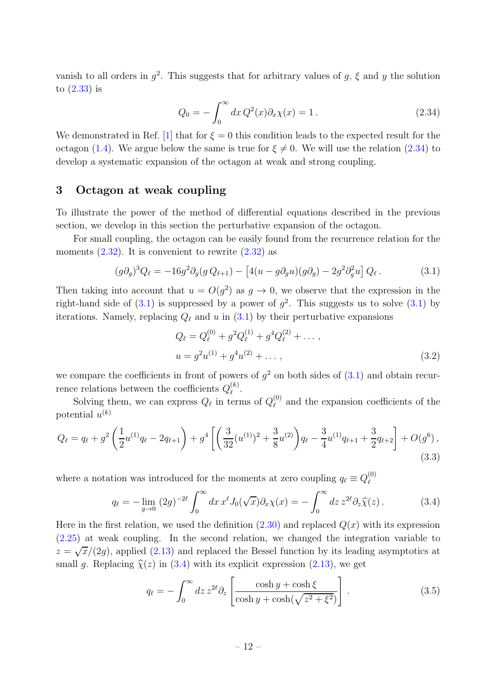vanish to all orders in  $g^2$ . This suggests that for arbitrary values of  $g, \xi$  and  $y$  the solution to [\(2.33\)](#page-11-4) is

<span id="page-12-1"></span>
$$
Q_0 = -\int_0^\infty dx \, Q^2(x) \partial_x \chi(x) = 1 \,. \tag{2.34}
$$

We demonstrated in Ref. [\[1](#page-42-0)] that for  $\xi = 0$  this condition leads to the expected result for the octagon [\(1.4\)](#page-3-0). We argue below the same is true for  $\xi \neq 0$ . We will use the relation [\(2.34\)](#page-12-1) to develop a systematic expansion of the octagon at weak and strong coupling.

### <span id="page-12-0"></span>3 Octagon at weak coupling

To illustrate the power of the method of differential equations described in the previous section, we develop in this section the perturbative expansion of the octagon.

For small coupling, the octagon can be easily found from the recurrence relation for the moments  $(2.32)$ . It is convenient to rewrite  $(2.32)$  as

$$
(g\partial_g)^3 Q_\ell = -16g^2 \partial_g (g Q_{\ell+1}) - \left[4(u - g \partial_g u)(g \partial_g) - 2g^2 \partial_g^2 u\right] Q_\ell.
$$
 (3.1)

Then taking into account that  $u = O(g^2)$  as  $g \to 0$ , we observe that the expression in the right-hand side of  $(3.1)$  is suppressed by a power of  $g^2$ . This suggests us to solve  $(3.1)$  by iterations. Namely, replacing  $Q_{\ell}$  and u in  $(3.1)$  by their perturbative expansions

<span id="page-12-5"></span><span id="page-12-4"></span><span id="page-12-2"></span>
$$
Q_{\ell} = Q_{\ell}^{(0)} + g^2 Q_{\ell}^{(1)} + g^4 Q_{\ell}^{(2)} + \dots ,
$$
  

$$
u = g^2 u^{(1)} + g^4 u^{(2)} + \dots ,
$$
 (3.2)

we compare the coefficients in front of powers of  $g^2$  on both sides of  $(3.1)$  and obtain recurrence relations between the coefficients  $Q_{\ell}^{(k)}$  $\frac{1}{\ell}$ .

Solving them, we can express  $Q_{\ell}$  in terms of  $Q_{\ell}^{(0)}$  $\ell^{(0)}$  and the expansion coefficients of the potential  $u^{(k)}$ 

$$
Q_{\ell} = q_{\ell} + g^2 \left(\frac{1}{2}u^{(1)}q_{\ell} - 2q_{\ell+1}\right) + g^4 \left[\left(\frac{3}{32}(u^{(1)})^2 + \frac{3}{8}u^{(2)}\right)q_{\ell} - \frac{3}{4}u^{(1)}q_{\ell+1} + \frac{3}{2}q_{\ell+2}\right] + O(g^6),\tag{3.3}
$$

where a notation was introduced for the moments at zero coupling  $q_{\ell} \equiv Q_{\ell}^{(0)}$  $\ell$ 

$$
q_{\ell} = -\lim_{g \to 0} (2g)^{-2\ell} \int_0^{\infty} dx \, x^{\ell} J_0(\sqrt{x}) \partial_x \chi(x) = -\int_0^{\infty} dz \, z^{2\ell} \partial_z \widehat{\chi}(z) \,. \tag{3.4}
$$

Here in the first relation, we used the definition  $(2.30)$  and replaced  $Q(x)$  with its expression [\(2.25\)](#page-10-5) at weak coupling. In the second relation, we changed the integration variable to  $z = \sqrt{x}/(2g)$ , applied [\(2.13\)](#page-8-2) and replaced the Bessel function by its leading asymptotics at small g. Replacing  $\hat{\chi}(z)$  in [\(3.4\)](#page-12-3) with its explicit expression [\(2.13\)](#page-8-2), we get

<span id="page-12-6"></span><span id="page-12-3"></span>
$$
q_{\ell} = -\int_0^{\infty} dz \, z^{2\ell} \partial_z \left[ \frac{\cosh y + \cosh \xi}{\cosh y + \cosh(\sqrt{z^2 + \xi^2})} \right]. \tag{3.5}
$$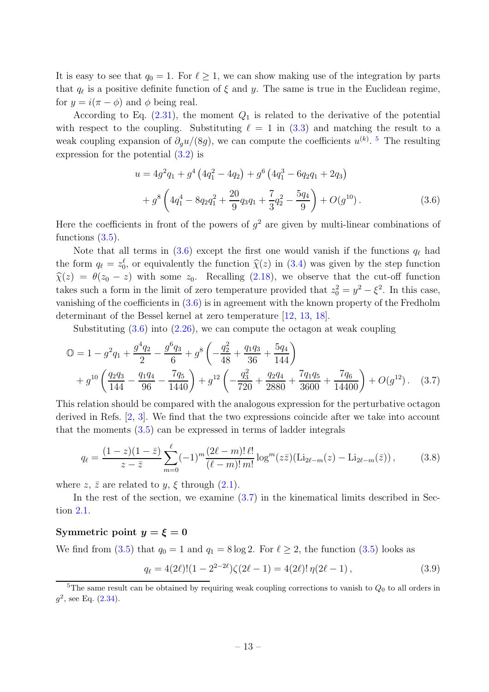It is easy to see that  $q_0 = 1$ . For  $\ell \geq 1$ , we can show making use of the integration by parts that  $q_{\ell}$  is a positive definite function of  $\xi$  and y. The same is true in the Euclidean regime, for  $y = i(\pi - \phi)$  and  $\phi$  being real.

According to Eq.  $(2.31)$ , the moment  $Q_1$  is related to the derivative of the potential with respect to the coupling. Substituting  $\ell = 1$  in [\(3.3\)](#page-12-4) and matching the result to a weak coupling expansion of  $\partial_g u/(8g)$ , we can compute the coefficients  $u^{(k)}$ . <sup>[5](#page-13-0)</sup> The resulting expression for the potential [\(3.2\)](#page-12-5) is

<span id="page-13-1"></span>
$$
u = 4g^2q_1 + g^4(4q_1^2 - 4q_2) + g^6(4q_1^3 - 6q_2q_1 + 2q_3)
$$
  
+  $g^8(4q_1^4 - 8q_2q_1^2 + \frac{20}{9}q_3q_1 + \frac{7}{3}q_2^2 - \frac{5q_4}{9}) + O(g^{10}).$  (3.6)

Here the coefficients in front of the powers of  $g^2$  are given by multi-linear combinations of functions [\(3.5\)](#page-12-6).

Note that all terms in [\(3.6\)](#page-13-1) except the first one would vanish if the functions  $q_{\ell}$  had the form  $q_{\ell} = z_0^{\ell}$ , or equivalently the function  $\hat{\chi}(z)$  in [\(3.4\)](#page-12-3) was given by the step function  $\widehat{\chi}(z) = \theta(z_0 - z)$  with some  $z_0$ . Recalling [\(2.18\)](#page-9-2), we observe that the cut-off function takes such a form in the limit of zero temperature provided that  $z_0^2 = y^2 - \xi^2$ . In this case, vanishing of the coefficients in  $(3.6)$  is in agreement with the known property of the Fredholm determinant of the Bessel kernel at zero temperature [\[12,](#page-43-3) [13,](#page-43-4) [18\]](#page-43-9).

Substituting  $(3.6)$  into  $(2.26)$ , we can compute the octagon at weak coupling

$$
\mathbb{O} = 1 - g^2 q_1 + \frac{g^4 q_2}{2} - \frac{g^6 q_3}{6} + g^8 \left( -\frac{q_2^2}{48} + \frac{q_1 q_3}{36} + \frac{5 q_4}{144} \right) + g^{10} \left( \frac{q_2 q_3}{144} - \frac{q_1 q_4}{96} - \frac{7 q_5}{1440} \right) + g^{12} \left( -\frac{q_3^2}{720} + \frac{q_2 q_4}{2880} + \frac{7 q_1 q_5}{3600} + \frac{7 q_6}{14400} \right) + O(g^{12}).
$$
 (3.7)

This relation should be compared with the analogous expression for the perturbative octagon derived in Refs. [\[2,](#page-42-1) [3\]](#page-42-2). We find that the two expressions coincide after we take into account that the moments  $(3.5)$  can be expressed in terms of ladder integrals

$$
q_{\ell} = \frac{(1-z)(1-\bar{z})}{z-\bar{z}} \sum_{m=0}^{\ell} (-1)^m \frac{(2\ell-m)! \ell!}{(\ell-m)! \, m!} \log^m(z\bar{z}) (\text{Li}_{2\ell-m}(z) - \text{Li}_{2\ell-m}(\bar{z})),\tag{3.8}
$$

where z,  $\bar{z}$  are related to y,  $\xi$  through [\(2.1\)](#page-5-3).

In the rest of the section, we examine  $(3.7)$  in the kinematical limits described in Section [2.1.](#page-5-0)

#### Symmetric point  $y = \xi = 0$

We find from [\(3.5\)](#page-12-6) that  $q_0 = 1$  and  $q_1 = 8 \log 2$ . For  $\ell \geq 2$ , the function (3.5) looks as

<span id="page-13-3"></span><span id="page-13-2"></span>
$$
q_{\ell} = 4(2\ell)! (1 - 2^{2-2\ell}) \zeta (2\ell - 1) = 4(2\ell)! \eta (2\ell - 1) , \qquad (3.9)
$$

<span id="page-13-0"></span><sup>&</sup>lt;sup>5</sup>The same result can be obtained by requiring weak coupling corrections to vanish to  $Q_0$  to all orders in  $g^2$ , see Eq.  $(2.34)$ .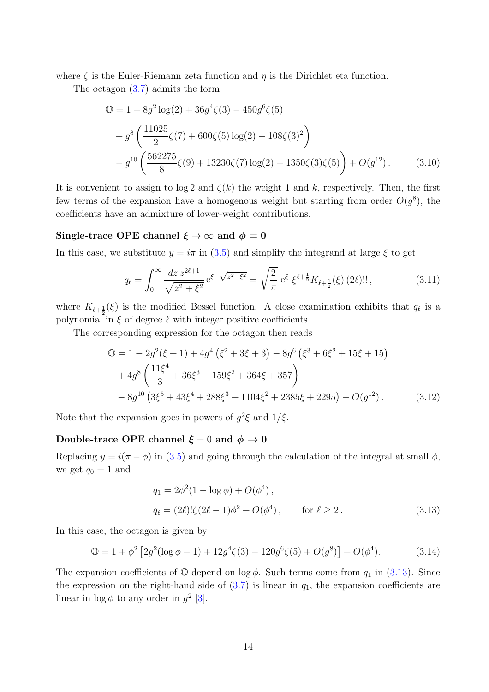where  $\zeta$  is the Euler-Riemann zeta function and  $\eta$  is the Dirichlet eta function.

The octagon [\(3.7\)](#page-13-2) admits the form

$$
0 = 1 - 8g^{2} \log(2) + 36g^{4}\zeta(3) - 450g^{6}\zeta(5)
$$
  
+  $g^{8} \left( \frac{11025}{2} \zeta(7) + 600\zeta(5) \log(2) - 108\zeta(3)^{2} \right)$   
-  $g^{10} \left( \frac{562275}{8} \zeta(9) + 13230\zeta(7) \log(2) - 1350\zeta(3)\zeta(5) \right) + O(g^{12}).$  (3.10)

It is convenient to assign to log 2 and  $\zeta(k)$  the weight 1 and k, respectively. Then, the first few terms of the expansion have a homogenous weight but starting from order  $O(g^8)$ , the coefficients have an admixture of lower-weight contributions.

#### Single-trace OPE channel  $\xi \to \infty$  and  $\phi = 0$

In this case, we substitute  $y = i\pi$  in [\(3.5\)](#page-12-6) and simplify the integrand at large  $\xi$  to get

$$
q_{\ell} = \int_0^{\infty} \frac{dz \, z^{2\ell+1}}{\sqrt{z^2 + \xi^2}} \, e^{\xi - \sqrt{z^2 + \xi^2}} = \sqrt{\frac{2}{\pi}} \, e^{\xi} \, \xi^{\ell + \frac{1}{2}} K_{\ell + \frac{1}{2}}(\xi) \, (2\ell)!! \,, \tag{3.11}
$$

where  $K_{\ell+\frac{1}{2}}(\xi)$  is the modified Bessel function. A close examination exhibits that  $q_{\ell}$  is a polynomial in  $\xi$  of degree  $\ell$  with integer positive coefficients.

The corresponding expression for the octagon then reads

$$
\begin{aligned} \n\mathbb{O} &= 1 - 2g^2(\xi + 1) + 4g^4\left(\xi^2 + 3\xi + 3\right) - 8g^6\left(\xi^3 + 6\xi^2 + 15\xi + 15\right) \\ \n&+ 4g^8\left(\frac{11\xi^4}{3} + 36\xi^3 + 159\xi^2 + 364\xi + 357\right) \\ \n&- 8g^{10}\left(3\xi^5 + 43\xi^4 + 288\xi^3 + 1104\xi^2 + 2385\xi + 2295\right) + O(g^{12}). \n\end{aligned} \tag{3.12}
$$

Note that the expansion goes in powers of  $g^2 \xi$  and  $1/\xi$ .

#### Double-trace OPE channel  $\xi = 0$  and  $\phi \to 0$

Replacing  $y = i(\pi - \phi)$  in [\(3.5\)](#page-12-6) and going through the calculation of the integral at small  $\phi$ , we get  $q_0 = 1$  and

<span id="page-14-2"></span><span id="page-14-1"></span><span id="page-14-0"></span>
$$
q_1 = 2\phi^2 (1 - \log \phi) + O(\phi^4),
$$
  
\n
$$
q_\ell = (2\ell)! \zeta (2\ell - 1) \phi^2 + O(\phi^4), \quad \text{for } \ell \ge 2.
$$
\n(3.13)

In this case, the octagon is given by

$$
\mathbb{O} = 1 + \phi^2 \left[ 2g^2 (\log \phi - 1) + 12g^4 \zeta(3) - 120g^6 \zeta(5) + O(g^8) \right] + O(\phi^4). \tag{3.14}
$$

The expansion coefficients of  $\mathbb O$  depend on log  $\phi$ . Such terms come from  $q_1$  in [\(3.13\)](#page-14-0). Since the expression on the right-hand side of  $(3.7)$  is linear in  $q_1$ , the expansion coefficients are linear in  $\log \phi$  to any order in  $g^2$  [\[3\]](#page-42-2).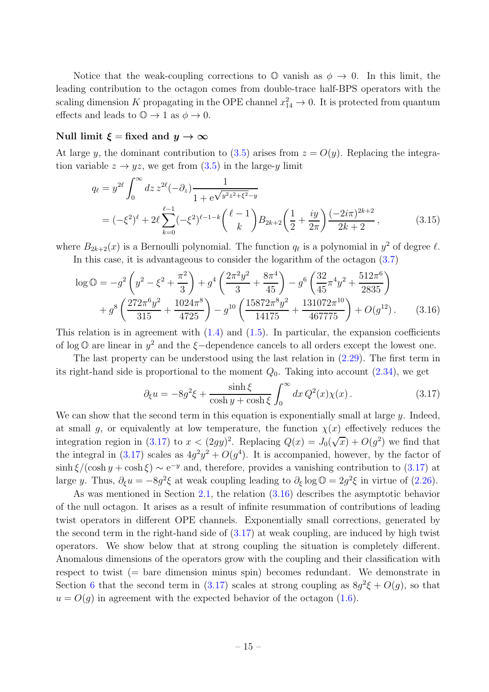Notice that the weak-coupling corrections to  $\mathbb{O}$  vanish as  $\phi \to 0$ . In this limit, the leading contribution to the octagon comes from double-trace half-BPS operators with the scaling dimension K propagating in the OPE channel  $x_{14}^2 \rightarrow 0$ . It is protected from quantum effects and leads to  $\mathbb{O} \to 1$  as  $\phi \to 0$ .

#### Null limit  $\xi$  = fixed and  $y \to \infty$

At large y, the dominant contribution to  $(3.5)$  arises from  $z = O(y)$ . Replacing the integration variable  $z \rightarrow yz$ , we get from  $(3.5)$  in the large-y limit

$$
q_{\ell} = y^{2\ell} \int_0^{\infty} dz \, z^{2\ell} (-\partial_z) \frac{1}{1 + e^{\sqrt{y^2 z^2 + \xi^2} - y}}
$$
  
=  $(-\xi^2)^{\ell} + 2\ell \sum_{k=0}^{\ell-1} (-\xi^2)^{\ell-1-k} {\ell-1 \choose k} B_{2k+2} \left(\frac{1}{2} + \frac{iy}{2\pi}\right) \frac{(-2i\pi)^{2k+2}}{2k+2},$  (3.15)

where  $B_{2k+2}(x)$  is a Bernoulli polynomial. The function  $q_{\ell}$  is a polynomial in  $y^2$  of degree  $\ell$ . In this case, it is advantageous to consider the logarithm of the octagon [\(3.7\)](#page-13-2)

$$
\log \mathbb{O} = -g^2 \left( y^2 - \xi^2 + \frac{\pi^2}{3} \right) + g^4 \left( \frac{2\pi^2 y^2}{3} + \frac{8\pi^4}{45} \right) - g^6 \left( \frac{32}{45} \pi^4 y^2 + \frac{512\pi^6}{2835} \right) + g^8 \left( \frac{272\pi^6 y^2}{315} + \frac{1024\pi^8}{4725} \right) - g^{10} \left( \frac{15872\pi^8 y^2}{14175} + \frac{131072\pi^{10}}{467775} \right) + O(g^{12}).
$$
 (3.16)

This relation is in agreement with  $(1.4)$  and  $(1.5)$ . In particular, the expansion coefficients of log  $\mathbb O$  are linear in  $y^2$  and the  $\xi$ -dependence cancels to all orders except the lowest one.

The last property can be understood using the last relation in  $(2.29)$ . The first term in its right-hand side is proportional to the moment  $Q_0$ . Taking into account  $(2.34)$ , we get

<span id="page-15-1"></span><span id="page-15-0"></span>
$$
\partial_{\xi} u = -8g^2 \xi + \frac{\sinh \xi}{\cosh y + \cosh \xi} \int_0^{\infty} dx \, Q^2(x) \chi(x) \,. \tag{3.17}
$$

We can show that the second term in this equation is exponentially small at large  $y$ . Indeed, at small g, or equivalently at low temperature, the function  $\chi(x)$  effectively reduces the integration region in [\(3.17\)](#page-15-0) to  $x < (2gy)^2$ . Replacing  $Q(x) = J_0(\sqrt{x}) + O(g^2)$  we find that the integral in [\(3.17\)](#page-15-0) scales as  $4g^2y^2 + O(g^4)$ . It is accompanied, however, by the factor of  $\sinh \xi/(\cosh y + \cosh \xi) \sim e^{-y}$  and, therefore, provides a vanishing contribution to [\(3.17\)](#page-15-0) at large y. Thus,  $\partial_{\xi}u = -8g^2\xi$  at weak coupling leading to  $\partial_{\xi}\log\mathbb{O} = 2g^2\xi$  in virtue of [\(2.26\)](#page-10-6).

As was mentioned in Section [2.1,](#page-5-0) the relation [\(3.16\)](#page-15-1) describes the asymptotic behavior of the null octagon. It arises as a result of infinite resummation of contributions of leading twist operators in different OPE channels. Exponentially small corrections, generated by the second term in the right-hand side of [\(3.17\)](#page-15-0) at weak coupling, are induced by high twist operators. We show below that at strong coupling the situation is completely different. Anomalous dimensions of the operators grow with the coupling and their classification with respect to twist (= bare dimension minus spin) becomes redundant. We demonstrate in Section [6](#page-24-0) that the second term in [\(3.17\)](#page-15-0) scales at strong coupling as  $8g^2\xi + O(g)$ , so that  $u = O(g)$  in agreement with the expected behavior of the octagon [\(1.6\)](#page-3-2).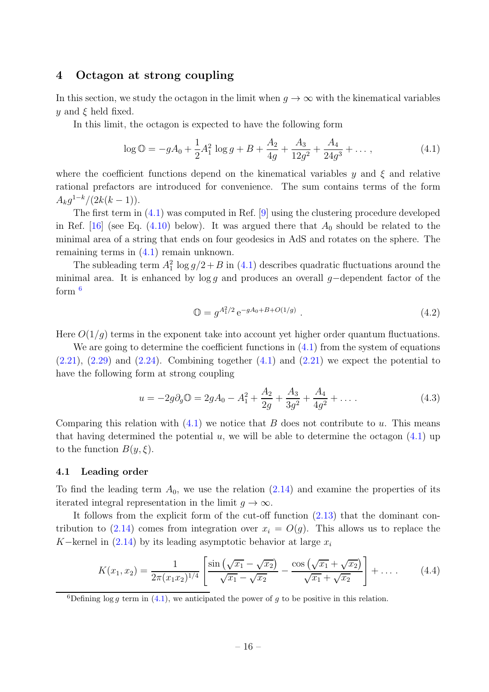#### <span id="page-16-0"></span>4 Octagon at strong coupling

In this section, we study the octagon in the limit when  $g \to \infty$  with the kinematical variables y and  $\xi$  held fixed.

In this limit, the octagon is expected to have the following form

$$
\log \mathbb{O} = -gA_0 + \frac{1}{2}A_1^2 \log g + B + \frac{A_2}{4g} + \frac{A_3}{12g^2} + \frac{A_4}{24g^3} + \dots,\tag{4.1}
$$

where the coefficient functions depend on the kinematical variables y and  $\xi$  and relative rational prefactors are introduced for convenience. The sum contains terms of the form  $A_k g^{1-k}/(2k(k-1)).$ 

The first term in [\(4.1\)](#page-16-2) was computed in Ref. [\[9\]](#page-43-0) using the clustering procedure developed in Ref. [\[16](#page-43-7)] (see Eq.  $(4.10)$  below). It was argued there that  $A_0$  should be related to the minimal area of a string that ends on four geodesics in AdS and rotates on the sphere. The remaining terms in [\(4.1\)](#page-16-2) remain unknown.

The subleading term  $A_1^2 \log g/2 + B$  in [\(4.1\)](#page-16-2) describes quadratic fluctuations around the minimal area. It is enhanced by log g and produces an overall g−dependent factor of the form [6](#page-16-3)

<span id="page-16-5"></span><span id="page-16-2"></span>
$$
\mathbb{O} = g^{A_1^2/2} e^{-gA_0 + B + O(1/g)} \tag{4.2}
$$

Here  $O(1/g)$  terms in the exponent take into account yet higher order quantum fluctuations.

We are going to determine the coefficient functions in  $(4.1)$  from the system of equations  $(2.21)$ ,  $(2.29)$  and  $(2.24)$ . Combining together  $(4.1)$  and  $(2.21)$  we expect the potential to have the following form at strong coupling

$$
u = -2g\partial_g \mathbb{O} = 2gA_0 - A_1^2 + \frac{A_2}{2g} + \frac{A_3}{3g^2} + \frac{A_4}{4g^2} + \dots
$$
 (4.3)

Comparing this relation with  $(4.1)$  we notice that B does not contribute to u. This means that having determined the potential u, we will be able to determine the octagon  $(4.1)$  up to the function  $B(y,\xi)$ .

#### <span id="page-16-1"></span>4.1 Leading order

To find the leading term  $A_0$ , we use the relation  $(2.14)$  and examine the properties of its iterated integral representation in the limit  $q \to \infty$ .

It follows from the explicit form of the cut-off function [\(2.13\)](#page-8-2) that the dominant contribution to  $(2.14)$  comes from integration over  $x_i = O(g)$ . This allows us to replace the K–kernel in  $(2.14)$  by its leading asymptotic behavior at large  $x_i$ 

<span id="page-16-4"></span>
$$
K(x_1, x_2) = \frac{1}{2\pi (x_1 x_2)^{1/4}} \left[ \frac{\sin \left( \sqrt{x_1} - \sqrt{x_2} \right)}{\sqrt{x_1} - \sqrt{x_2}} - \frac{\cos \left( \sqrt{x_1} + \sqrt{x_2} \right)}{\sqrt{x_1} + \sqrt{x_2}} \right] + \dots \tag{4.4}
$$

<span id="page-16-3"></span><sup>6</sup>Defining log g term in [\(4.1\)](#page-16-2), we anticipated the power of g to be positive in this relation.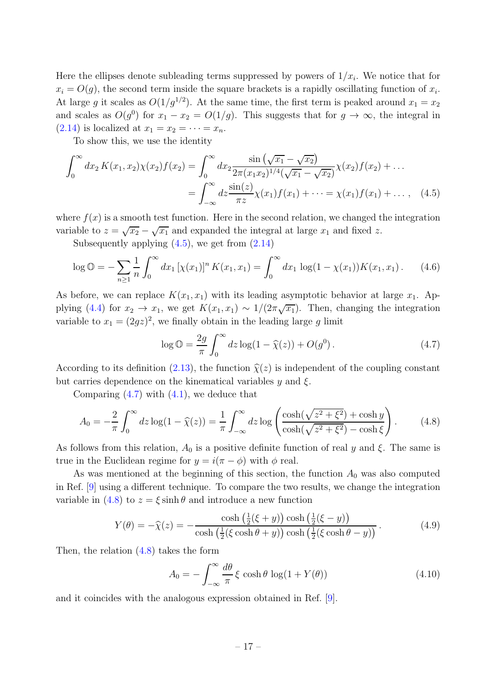Here the ellipses denote subleading terms suppressed by powers of  $1/x_i$ . We notice that for  $x_i = O(g)$ , the second term inside the square brackets is a rapidly oscillating function of  $x_i$ . At large g it scales as  $O(1/g^{1/2})$ . At the same time, the first term is peaked around  $x_1 = x_2$ and scales as  $O(g^0)$  for  $x_1 - x_2 = O(1/g)$ . This suggests that for  $g \to \infty$ , the integral in  $(2.14)$  is localized at  $x_1 = x_2 = \cdots = x_n$ .

To show this, we use the identity

$$
\int_0^\infty dx_2 K(x_1, x_2) \chi(x_2) f(x_2) = \int_0^\infty dx_2 \frac{\sin(\sqrt{x_1} - \sqrt{x_2})}{2\pi (x_1 x_2)^{1/4} (\sqrt{x_1} - \sqrt{x_2})} \chi(x_2) f(x_2) + \dots
$$

$$
= \int_{-\infty}^\infty dz \frac{\sin(z)}{\pi z} \chi(x_1) f(x_1) + \dots = \chi(x_1) f(x_1) + \dots, \quad (4.5)
$$

where  $f(x)$  is a smooth test function. Here in the second relation, we changed the integration variable to  $z = \sqrt{x_2} - \sqrt{x_1}$  and expanded the integral at large  $x_1$  and fixed z.

Subsequently applying [\(4.5\)](#page-17-1), we get from [\(2.14\)](#page-8-4)

$$
\log \mathbb{O} = -\sum_{n\geq 1} \frac{1}{n} \int_0^\infty dx_1 \left[ \chi(x_1) \right]^n K(x_1, x_1) = \int_0^\infty dx_1 \, \log(1 - \chi(x_1)) K(x_1, x_1) \,. \tag{4.6}
$$

As before, we can replace  $K(x_1, x_1)$  with its leading asymptotic behavior at large  $x_1$ . Ap-plying [\(4.4\)](#page-16-4) for  $x_2 \to x_1$ , we get  $K(x_1, x_1) \sim 1/(2\pi\sqrt{x_1})$ . Then, changing the integration variable to  $x_1 = (2gz)^2$ , we finally obtain in the leading large g limit

<span id="page-17-3"></span><span id="page-17-2"></span><span id="page-17-1"></span>
$$
\log \mathbb{O} = \frac{2g}{\pi} \int_0^\infty dz \log(1 - \widehat{\chi}(z)) + O(g^0).
$$
 (4.7)

According to its definition [\(2.13\)](#page-8-2), the function  $\hat{\chi}(z)$  is independent of the coupling constant but carries dependence on the kinematical variables  $y$  and  $\xi$ .

Comparing  $(4.7)$  with  $(4.1)$ , we deduce that

$$
A_0 = -\frac{2}{\pi} \int_0^\infty dz \log(1 - \hat{\chi}(z)) = \frac{1}{\pi} \int_{-\infty}^\infty dz \log\left(\frac{\cosh(\sqrt{z^2 + \xi^2}) + \cosh y}{\cosh(\sqrt{z^2 + \xi^2}) - \cosh \xi}\right).
$$
 (4.8)

As follows from this relation,  $A_0$  is a positive definite function of real y and  $\xi$ . The same is true in the Euclidean regime for  $y = i(\pi - \phi)$  with  $\phi$  real.

As was mentioned at the beginning of this section, the function  $A_0$  was also computed in Ref. [\[9](#page-43-0)] using a different technique. To compare the two results, we change the integration variable in [\(4.8\)](#page-17-3) to  $z = \xi \sinh \theta$  and introduce a new function

$$
Y(\theta) = -\widehat{\chi}(z) = -\frac{\cosh\left(\frac{1}{2}(\xi + y)\right)\cosh\left(\frac{1}{2}(\xi - y)\right)}{\cosh\left(\frac{1}{2}(\xi\cosh\theta + y)\right)\cosh\left(\frac{1}{2}(\xi\cosh\theta - y)\right)}.
$$
(4.9)

Then, the relation [\(4.8\)](#page-17-3) takes the form

<span id="page-17-0"></span>
$$
A_0 = -\int_{-\infty}^{\infty} \frac{d\theta}{\pi} \xi \cosh \theta \, \log(1 + Y(\theta)) \tag{4.10}
$$

and it coincides with the analogous expression obtained in Ref. [\[9\]](#page-43-0).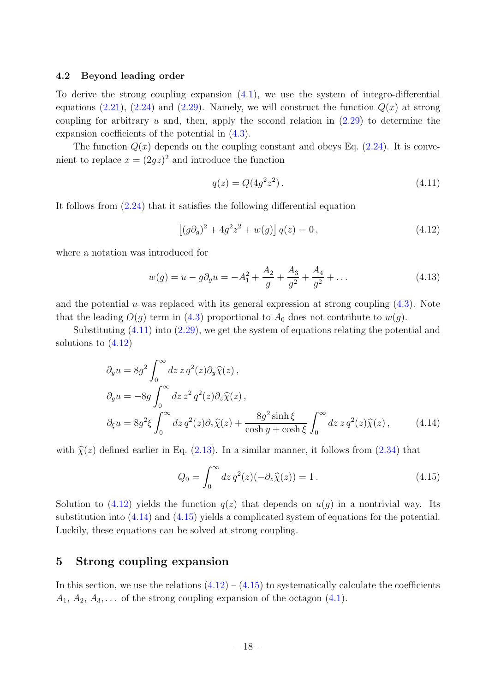#### <span id="page-18-0"></span>4.2 Beyond leading order

To derive the strong coupling expansion  $(4.1)$ , we use the system of integro-differential equations [\(2.21\)](#page-10-4), [\(2.24\)](#page-10-3) and [\(2.29\)](#page-11-1). Namely, we will construct the function  $Q(x)$  at strong coupling for arbitrary  $u$  and, then, apply the second relation in  $(2.29)$  to determine the expansion coefficients of the potential in [\(4.3\)](#page-16-5).

The function  $Q(x)$  depends on the coupling constant and obeys Eq. [\(2.24\)](#page-10-3). It is convenient to replace  $x = (2gz)^2$  and introduce the function

<span id="page-18-6"></span><span id="page-18-3"></span><span id="page-18-2"></span>
$$
q(z) = Q(4g^2 z^2). \tag{4.11}
$$

It follows from [\(2.24\)](#page-10-3) that it satisfies the following differential equation

$$
[(g\partial_g)^2 + 4g^2z^2 + w(g)]q(z) = 0,
$$
\n(4.12)

where a notation was introduced for

$$
w(g) = u - g\partial_g u = -A_1^2 + \frac{A_2}{g} + \frac{A_3}{g^2} + \frac{A_4}{g^2} + \dots
$$
\n(4.13)

and the potential u was replaced with its general expression at strong coupling  $(4.3)$ . Note that the leading  $O(g)$  term in [\(4.3\)](#page-16-5) proportional to  $A_0$  does not contribute to  $w(g)$ .

Substituting [\(4.11\)](#page-18-2) into [\(2.29\)](#page-11-1), we get the system of equations relating the potential and solutions to [\(4.12\)](#page-18-3)

$$
\partial_y u = 8g^2 \int_0^\infty dz \, z \, q^2(z) \partial_y \widehat{\chi}(z) ,
$$
  
\n
$$
\partial_g u = -8g \int_0^\infty dz \, z^2 \, q^2(z) \partial_z \widehat{\chi}(z) ,
$$
  
\n
$$
\partial_\xi u = 8g^2 \xi \int_0^\infty dz \, q^2(z) \partial_z \widehat{\chi}(z) + \frac{8g^2 \sinh \xi}{\cosh y + \cosh \xi} \int_0^\infty dz \, z \, q^2(z) \widehat{\chi}(z) , \qquad (4.14)
$$

with  $\hat{\chi}(z)$  defined earlier in Eq. [\(2.13\)](#page-8-2). In a similar manner, it follows from [\(2.34\)](#page-12-1) that

<span id="page-18-5"></span><span id="page-18-4"></span>
$$
Q_0 = \int_0^\infty dz \, q^2(z) (-\partial_z \widehat{\chi}(z)) = 1. \tag{4.15}
$$

Solution to [\(4.12\)](#page-18-3) yields the function  $q(z)$  that depends on  $u(q)$  in a nontrivial way. Its substitution into [\(4.14\)](#page-18-4) and [\(4.15\)](#page-18-5) yields a complicated system of equations for the potential. Luckily, these equations can be solved at strong coupling.

## <span id="page-18-1"></span>5 Strong coupling expansion

In this section, we use the relations  $(4.12) - (4.15)$  $(4.12) - (4.15)$  to systematically calculate the coefficients  $A_1, A_2, A_3, \ldots$  of the strong coupling expansion of the octagon [\(4.1\)](#page-16-2).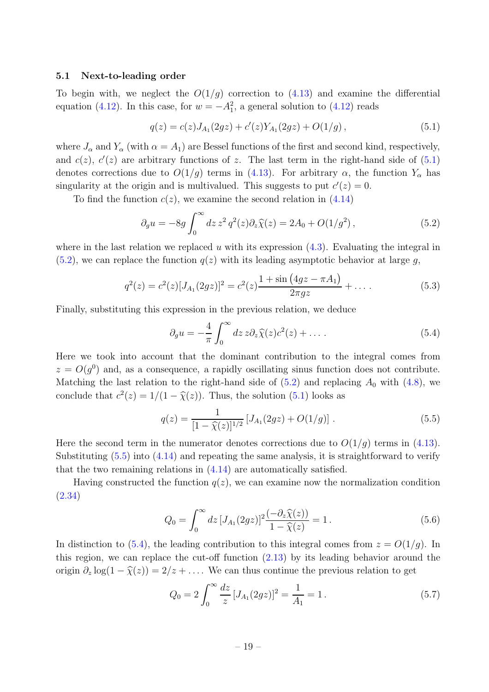#### <span id="page-19-0"></span>5.1 Next-to-leading order

To begin with, we neglect the  $O(1/g)$  correction to  $(4.13)$  and examine the differential equation [\(4.12\)](#page-18-3). In this case, for  $w = -A_1^2$ , a general solution to (4.12) reads

<span id="page-19-1"></span>
$$
q(z) = c(z)J_{A_1}(2gz) + c'(z)Y_{A_1}(2gz) + O(1/g), \qquad (5.1)
$$

where  $J_{\alpha}$  and  $Y_{\alpha}$  (with  $\alpha = A_1$ ) are Bessel functions of the first and second kind, respectively, and  $c(z)$ ,  $c'(z)$  are arbitrary functions of z. The last term in the right-hand side of  $(5.1)$ denotes corrections due to  $O(1/g)$  terms in [\(4.13\)](#page-18-6). For arbitrary  $\alpha$ , the function  $Y_{\alpha}$  has singularity at the origin and is multivalued. This suggests to put  $c'(z) = 0$ .

To find the function  $c(z)$ , we examine the second relation in  $(4.14)$ 

$$
\partial_g u = -8g \int_0^\infty dz \, z^2 \, q^2(z) \partial_z \widehat{\chi}(z) = 2A_0 + O(1/g^2) \,, \tag{5.2}
$$

where in the last relation we replaced u with its expression  $(4.3)$ . Evaluating the integral in  $(5.2)$ , we can replace the function  $q(z)$  with its leading asymptotic behavior at large q,

$$
q^{2}(z) = c^{2}(z)[J_{A_{1}}(2gz)]^{2} = c^{2}(z)\frac{1 + \sin(4gz - \pi A_{1})}{2\pi gz} + \dots
$$
\n(5.3)

Finally, substituting this expression in the previous relation, we deduce

<span id="page-19-4"></span><span id="page-19-2"></span>
$$
\partial_g u = -\frac{4}{\pi} \int_0^\infty dz \, z \partial_z \widehat{\chi}(z) c^2(z) + \dots \tag{5.4}
$$

Here we took into account that the dominant contribution to the integral comes from  $z = O(g^0)$  and, as a consequence, a rapidly oscillating sinus function does not contribute. Matching the last relation to the right-hand side of  $(5.2)$  and replacing  $A_0$  with  $(4.8)$ , we conclude that  $c^2(z) = 1/(1 - \hat{\chi}(z))$ . Thus, the solution [\(5.1\)](#page-19-1) looks as

<span id="page-19-3"></span>
$$
q(z) = \frac{1}{[1 - \widehat{\chi}(z)]^{1/2}} \left[ J_{A_1}(2gz) + O(1/g) \right]. \tag{5.5}
$$

Here the second term in the numerator denotes corrections due to  $O(1/g)$  terms in [\(4.13\)](#page-18-6). Substituting  $(5.5)$  into  $(4.14)$  and repeating the same analysis, it is straightforward to verify that the two remaining relations in  $(4.14)$  are automatically satisfied.

Having constructed the function  $q(z)$ , we can examine now the normalization condition [\(2.34\)](#page-12-1)

<span id="page-19-5"></span>
$$
Q_0 = \int_0^\infty dz \, [J_{A_1}(2gz)]^2 \frac{(-\partial_z \widehat{\chi}(z))}{1 - \widehat{\chi}(z)} = 1. \tag{5.6}
$$

In distinction to [\(5.4\)](#page-19-4), the leading contribution to this integral comes from  $z = O(1/q)$ . In this region, we can replace the cut-off function [\(2.13\)](#page-8-2) by its leading behavior around the origin  $\partial_z \log(1 - \hat{\chi}(z)) = 2/z + \dots$ . We can thus continue the previous relation to get

$$
Q_0 = 2 \int_0^\infty \frac{dz}{z} \left[ J_{A_1}(2gz) \right]^2 = \frac{1}{A_1} = 1. \tag{5.7}
$$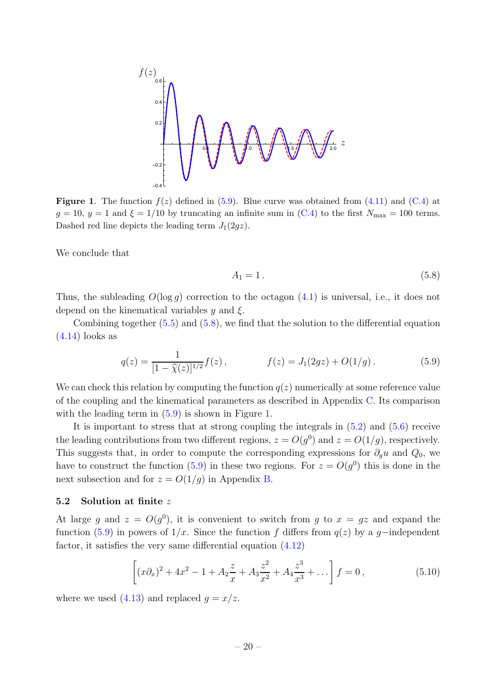

<span id="page-20-3"></span>**Figure 1.** The function  $f(z)$  defined in [\(5.9\)](#page-20-1). Blue curve was obtained from [\(4.11\)](#page-18-2) and [\(C.4\)](#page-41-1) at  $g = 10$ ,  $y = 1$  and  $\xi = 1/10$  by truncating an infinite sum in [\(C.4\)](#page-41-1) to the first  $N_{\text{max}} = 100$  terms. Dashed red line depicts the leading term  $J_1(2gz)$ .

We conclude that

<span id="page-20-2"></span><span id="page-20-1"></span>
$$
A_1 = 1. \tag{5.8}
$$

Thus, the subleading  $O(\log q)$  correction to the octagon [\(4.1\)](#page-16-2) is universal, i.e., it does not depend on the kinematical variables  $y$  and  $\xi$ .

Combining together [\(5.5\)](#page-19-3) and [\(5.8\)](#page-20-2), we find that the solution to the differential equation  $(4.14)$  looks as

$$
q(z) = \frac{1}{[1 - \widehat{\chi}(z)]^{1/2}} f(z), \qquad f(z) = J_1(2gz) + O(1/g). \qquad (5.9)
$$

We can check this relation by computing the function  $q(z)$  numerically at some reference value of the coupling and the kinematical parameters as described in Appendix [C.](#page-40-0) Its comparison with the leading term in [\(5.9\)](#page-20-1) is shown in Figure [1.](#page-20-3)

It is important to stress that at strong coupling the integrals in [\(5.2\)](#page-19-2) and [\(5.6\)](#page-19-5) receive the leading contributions from two different regions,  $z = O(g^0)$  and  $z = O(1/g)$ , respectively. This suggests that, in order to compute the corresponding expressions for  $\partial_q u$  and  $Q_0$ , we have to construct the function [\(5.9\)](#page-20-1) in these two regions. For  $z = O(g^0)$  this is done in the next subsection and for  $z = O(1/g)$  in Appendix [B.](#page-37-0)

#### <span id="page-20-0"></span>5.2 Solution at finite z

At large g and  $z = O(g^0)$ , it is convenient to switch from g to  $x = gz$  and expand the function [\(5.9\)](#page-20-1) in powers of  $1/x$ . Since the function f differs from  $q(z)$  by a g-independent factor, it satisfies the very same differential equation [\(4.12\)](#page-18-3)

<span id="page-20-4"></span>
$$
\left[ (x\partial_x)^2 + 4x^2 - 1 + A_2 \frac{z}{x} + A_3 \frac{z^2}{x^2} + A_4 \frac{z^3}{x^3} + \dots \right] f = 0, \tag{5.10}
$$

where we used [\(4.13\)](#page-18-6) and replaced  $g = x/z$ .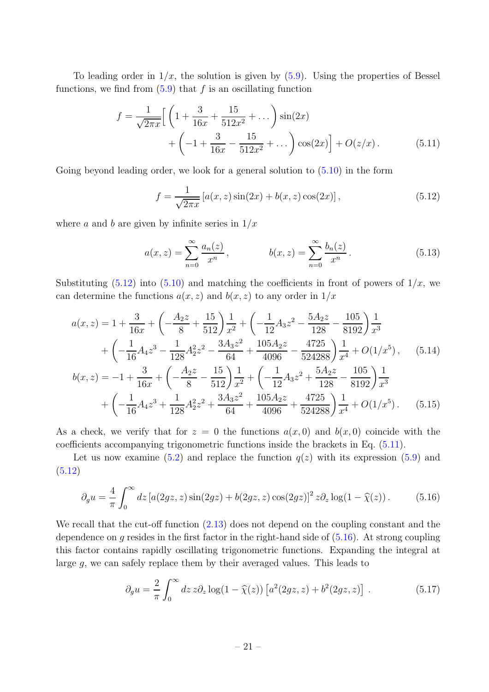To leading order in  $1/x$ , the solution is given by  $(5.9)$ . Using the properties of Bessel functions, we find from  $(5.9)$  that f is an oscillating function

$$
f = \frac{1}{\sqrt{2\pi x}} \Big[ \left( 1 + \frac{3}{16x} + \frac{15}{512x^2} + \dots \right) \sin(2x) + \left( -1 + \frac{3}{16x} - \frac{15}{512x^2} + \dots \right) \cos(2x) \Big] + O(z/x) . \tag{5.11}
$$

Going beyond leading order, we look for a general solution to  $(5.10)$  in the form

<span id="page-21-1"></span><span id="page-21-0"></span>
$$
f = \frac{1}{\sqrt{2\pi x}} \left[ a(x, z) \sin(2x) + b(x, z) \cos(2x) \right],
$$
 (5.12)

where a and b are given by infinite series in  $1/x$ 

<span id="page-21-4"></span><span id="page-21-3"></span>
$$
a(x, z) = \sum_{n=0}^{\infty} \frac{a_n(z)}{x^n}, \qquad b(x, z) = \sum_{n=0}^{\infty} \frac{b_n(z)}{x^n}.
$$
 (5.13)

Substituting  $(5.12)$  into  $(5.10)$  and matching the coefficients in front of powers of  $1/x$ , we can determine the functions  $a(x, z)$  and  $b(x, z)$  to any order in  $1/x$ 

$$
a(x,z) = 1 + \frac{3}{16x} + \left(-\frac{A_2z}{8} + \frac{15}{512}\right)\frac{1}{x^2} + \left(-\frac{1}{12}A_3z^2 - \frac{5A_2z}{128} - \frac{105}{8192}\right)\frac{1}{x^3} + \left(-\frac{1}{16}A_4z^3 - \frac{1}{128}A_2^2z^2 - \frac{3A_3z^2}{64} + \frac{105A_2z}{4096} - \frac{4725}{524288}\right)\frac{1}{x^4} + O(1/x^5), \quad (5.14)
$$
  

$$
b(x,z) = -1 + \frac{3}{16x} + \left(-\frac{A_2z}{8} - \frac{15}{512}\right)\frac{1}{x^2} + \left(-\frac{1}{12}A_3z^2 + \frac{5A_2z}{128} - \frac{105}{8192}\right)\frac{1}{x^3} + \left(-\frac{1}{16}A_4z^3 + \frac{1}{128}A_2^2z^2 + \frac{3A_3z^2}{64} + \frac{105A_2z}{4096} + \frac{4725}{524288}\right)\frac{1}{x^4} + O(1/x^5). \quad (5.15)
$$

As a check, we verify that for  $z = 0$  the functions  $a(x, 0)$  and  $b(x, 0)$  coincide with the coefficients accompanying trigonometric functions inside the brackets in Eq. [\(5.11\)](#page-21-1).

Let us now examine  $(5.2)$  and replace the function  $q(z)$  with its expression  $(5.9)$  and [\(5.12\)](#page-21-0)

$$
\partial_g u = \frac{4}{\pi} \int_0^\infty dz \left[ a(2gz, z) \sin(2gz) + b(2gz, z) \cos(2gz) \right]^2 z \partial_z \log(1 - \widehat{\chi}(z)). \tag{5.16}
$$

We recall that the cut-off function  $(2.13)$  does not depend on the coupling constant and the dependence on  $g$  resides in the first factor in the right-hand side of  $(5.16)$ . At strong coupling this factor contains rapidly oscillating trigonometric functions. Expanding the integral at large g, we can safely replace them by their averaged values. This leads to

<span id="page-21-5"></span><span id="page-21-2"></span>
$$
\partial_g u = \frac{2}{\pi} \int_0^\infty dz \, z \partial_z \log(1 - \widehat{\chi}(z)) \left[ a^2 (2gz, z) + b^2 (2gz, z) \right] \,. \tag{5.17}
$$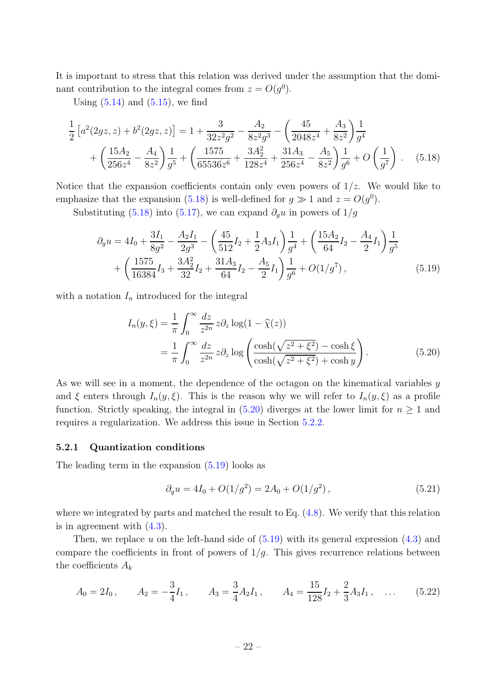It is important to stress that this relation was derived under the assumption that the dominant contribution to the integral comes from  $z = O(g^0)$ .

Using  $(5.14)$  and  $(5.15)$ , we find

$$
\frac{1}{2} \left[ a^2 (2gz, z) + b^2 (2gz, z) \right] = 1 + \frac{3}{32z^2g^2} - \frac{A_2}{8z^2g^3} - \left( \frac{45}{2048z^4} + \frac{A_3}{8z^2} \right) \frac{1}{g^4} \n+ \left( \frac{15A_2}{256z^4} - \frac{A_4}{8z^2} \right) \frac{1}{g^5} + \left( \frac{1575}{65536z^6} + \frac{3A_2^2}{128z^4} + \frac{31A_3}{256z^4} - \frac{A_5}{8z^2} \right) \frac{1}{g^6} + O\left(\frac{1}{g^7}\right) .
$$
\n(5.18)

Notice that the expansion coefficients contain only even powers of  $1/z$ . We would like to emphasize that the expansion [\(5.18\)](#page-22-1) is well-defined for  $g \gg 1$  and  $z = O(g^0)$ .

Substituting [\(5.18\)](#page-22-1) into [\(5.17\)](#page-21-5), we can expand  $\partial_q u$  in powers of  $1/g$ 

<span id="page-22-1"></span>
$$
\partial_g u = 4I_0 + \frac{3I_1}{8g^2} - \frac{A_2I_1}{2g^3} - \left(\frac{45}{512}I_2 + \frac{1}{2}A_3I_1\right)\frac{1}{g^4} + \left(\frac{15A_2}{64}I_2 - \frac{A_4}{2}I_1\right)\frac{1}{g^5} + \left(\frac{1575}{16384}I_3 + \frac{3A_2^2}{32}I_2 + \frac{31A_3}{64}I_2 - \frac{A_5}{2}I_1\right)\frac{1}{g^6} + O(1/g^7),
$$
(5.19)

with a notation  $I_n$  introduced for the integral

<span id="page-22-3"></span>
$$
I_n(y,\xi) = \frac{1}{\pi} \int_0^\infty \frac{dz}{z^{2n}} z \partial_z \log(1 - \widehat{\chi}(z))
$$
  
= 
$$
\frac{1}{\pi} \int_0^\infty \frac{dz}{z^{2n}} z \partial_z \log \left( \frac{\cosh(\sqrt{z^2 + \xi^2}) - \cosh \xi}{\cosh(\sqrt{z^2 + \xi^2}) + \cosh y} \right).
$$
(5.20)

As we will see in a moment, the dependence of the octagon on the kinematical variables y and  $\xi$  enters through  $I_n(y,\xi)$ . This is the reason why we will refer to  $I_n(y,\xi)$  as a profile function. Strictly speaking, the integral in [\(5.20\)](#page-22-2) diverges at the lower limit for  $n \geq 1$  and requires a regularization. We address this issue in Section [5.2.2.](#page-23-0)

#### <span id="page-22-0"></span>5.2.1 Quantization conditions

The leading term in the expansion [\(5.19\)](#page-22-3) looks as

<span id="page-22-2"></span>
$$
\partial_g u = 4I_0 + O(1/g^2) = 2A_0 + O(1/g^2), \qquad (5.21)
$$

where we integrated by parts and matched the result to Eq.  $(4.8)$ . We verify that this relation is in agreement with  $(4.3)$ .

Then, we replace u on the left-hand side of  $(5.19)$  with its general expression  $(4.3)$  and compare the coefficients in front of powers of  $1/g$ . This gives recurrence relations between the coefficients  $A_k$ 

$$
A_0 = 2I_0
$$
,  $A_2 = -\frac{3}{4}I_1$ ,  $A_3 = \frac{3}{4}A_2I_1$ ,  $A_4 = \frac{15}{128}I_2 + \frac{2}{3}A_3I_1$ , ... (5.22)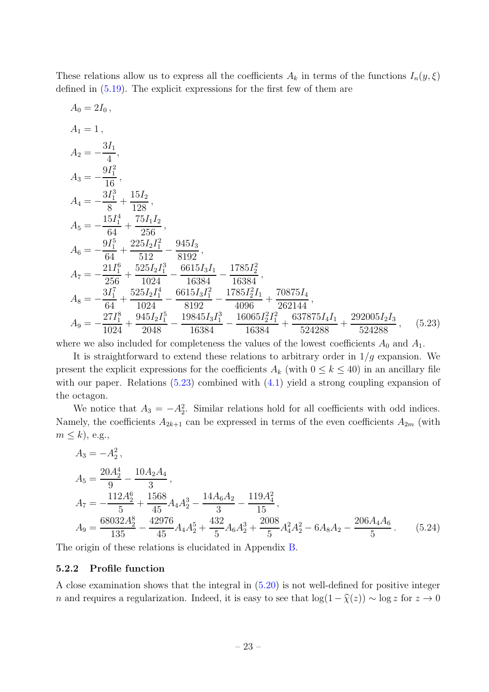These relations allow us to express all the coefficients  $A_k$  in terms of the functions  $I_n(y,\xi)$ defined in [\(5.19\)](#page-22-3). The explicit expressions for the first few of them are

$$
A_0 = 2I_0,
$$
  
\n
$$
A_1 = 1,
$$
  
\n
$$
A_2 = -\frac{3I_1}{4},
$$
  
\n
$$
A_3 = -\frac{9I_1^2}{16},
$$
  
\n
$$
A_4 = -\frac{3I_1^3}{8} + \frac{15I_2}{128},
$$
  
\n
$$
A_5 = -\frac{15I_1^4}{64} + \frac{75I_1I_2}{256},
$$
  
\n
$$
A_6 = -\frac{9I_1^5}{64} + \frac{225I_2I_1^2}{512} - \frac{945I_3}{8192},
$$
  
\n
$$
A_7 = -\frac{21I_1^6}{256} + \frac{525I_2I_1^3}{1024} - \frac{6615I_3I_1}{16384} - \frac{1785I_2^2}{16384},
$$
  
\n
$$
A_8 = -\frac{3I_1^7}{64} + \frac{525I_2I_1^4}{1024} - \frac{6615I_3I_1^2}{8192} - \frac{1785I_2I_1}{4096} + \frac{70875I_4}{262144},
$$
  
\n
$$
A_9 = -\frac{27I_1^8}{1024} + \frac{945I_2I_1^5}{2048} - \frac{19845I_3I_1^3}{16384} - \frac{16065I_2^2I_1^2}{16384} + \frac{637875I_4I_1}{524288} + \frac{292005I_2I_3}{524288},
$$
 (5.23)

<span id="page-23-1"></span>where we also included for completeness the values of the lowest coefficients  $A_0$  and  $A_1$ .

It is straightforward to extend these relations to arbitrary order in  $1/g$  expansion. We present the explicit expressions for the coefficients  $A_k$  (with  $0 \leq k \leq 40$ ) in an ancillary file with our paper. Relations  $(5.23)$  combined with  $(4.1)$  yield a strong coupling expansion of the octagon.

We notice that  $A_3 = -A_2^2$ . Similar relations hold for all coefficients with odd indices. Namely, the coefficients  $A_{2k+1}$  can be expressed in terms of the even coefficients  $A_{2m}$  (with  $m \leq k$ , e.g.,

<span id="page-23-2"></span>
$$
A_3 = -A_2^2,
$$
  
\n
$$
A_5 = \frac{20A_2^4}{9} - \frac{10A_2A_4}{3},
$$
  
\n
$$
A_7 = -\frac{112A_2^6}{5} + \frac{1568}{45}A_4A_2^3 - \frac{14A_6A_2}{3} - \frac{119A_4^2}{15},
$$
  
\n
$$
A_9 = \frac{68032A_2^8}{135} - \frac{42976}{45}A_4A_2^5 + \frac{432}{5}A_6A_2^3 + \frac{2008}{5}A_4^2A_2^2 - 6A_8A_2 - \frac{206A_4A_6}{5}.
$$
 (5.24)

<span id="page-23-0"></span>The origin of these relations is elucidated in Appendix [B.](#page-37-0)

#### 5.2.2 Profile function

A close examination shows that the integral in [\(5.20\)](#page-22-2) is not well-defined for positive integer n and requires a regularization. Indeed, it is easy to see that  $\log(1-\hat{\chi}(z)) \sim \log z$  for  $z \to 0$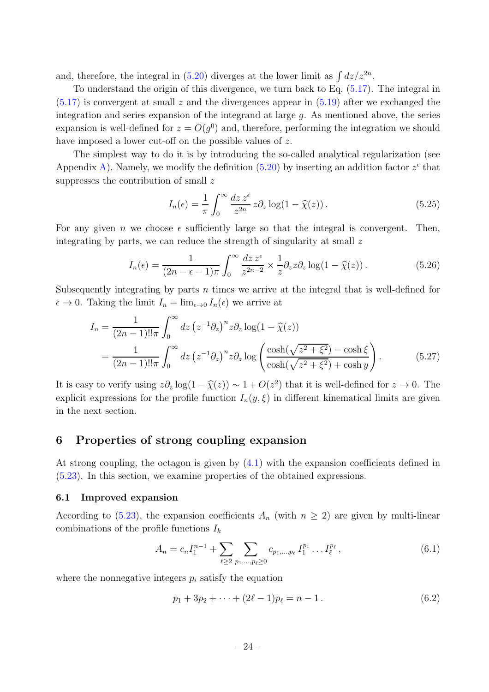and, therefore, the integral in [\(5.20\)](#page-22-2) diverges at the lower limit as  $\int dz/z^{2n}$ .

To understand the origin of this divergence, we turn back to Eq. [\(5.17\)](#page-21-5). The integral in  $(5.17)$  is convergent at small z and the divergences appear in  $(5.19)$  after we exchanged the integration and series expansion of the integrand at large g. As mentioned above, the series expansion is well-defined for  $z = O(g^0)$  and, therefore, performing the integration we should have imposed a lower cut-off on the possible values of z.

The simplest way to do it is by introducing the so-called analytical regularization (see Appendix [A\)](#page-35-0). Namely, we modify the definition [\(5.20\)](#page-22-2) by inserting an addition factor  $z^{\epsilon}$  that suppresses the contribution of small z

<span id="page-24-3"></span><span id="page-24-2"></span>
$$
I_n(\epsilon) = \frac{1}{\pi} \int_0^\infty \frac{dz \, z^{\epsilon}}{z^{2n}} z \partial_z \log(1 - \widehat{\chi}(z)). \tag{5.25}
$$

For any given *n* we choose  $\epsilon$  sufficiently large so that the integral is convergent. Then, integrating by parts, we can reduce the strength of singularity at small  $z$ 

$$
I_n(\epsilon) = \frac{1}{(2n - \epsilon - 1)\pi} \int_0^\infty \frac{dz \, z^\epsilon}{z^{2n - 2}} \times \frac{1}{z} \partial_z z \partial_z \log(1 - \widehat{\chi}(z)). \tag{5.26}
$$

Subsequently integrating by parts n times we arrive at the integral that is well-defined for  $\epsilon \to 0$ . Taking the limit  $I_n = \lim_{\epsilon \to 0} I_n(\epsilon)$  we arrive at

$$
I_n = \frac{1}{(2n-1)!!\pi} \int_0^\infty dz \left(z^{-1}\partial_z\right)^n z \partial_z \log(1-\widehat{\chi}(z))
$$
  
= 
$$
\frac{1}{(2n-1)!!\pi} \int_0^\infty dz \left(z^{-1}\partial_z\right)^n z \partial_z \log\left(\frac{\cosh(\sqrt{z^2+\xi^2})-\cosh\xi}{\cosh(\sqrt{z^2+\xi^2})+\cosh y}\right).
$$
(5.27)

It is easy to verify using  $z\partial_z \log(1 - \hat{\chi}(z)) \sim 1 + O(z^2)$  that it is well-defined for  $z \to 0$ . The explicit expressions for the profile function  $I_n(y,\xi)$  in different kinematical limits are given in the next section.

## <span id="page-24-0"></span>6 Properties of strong coupling expansion

At strong coupling, the octagon is given by [\(4.1\)](#page-16-2) with the expansion coefficients defined in [\(5.23\)](#page-23-1). In this section, we examine properties of the obtained expressions.

#### <span id="page-24-1"></span>6.1 Improved expansion

According to [\(5.23\)](#page-23-1), the expansion coefficients  $A_n$  (with  $n \geq 2$ ) are given by multi-linear combinations of the profile functions  $I_k$ 

$$
A_n = c_n I_1^{n-1} + \sum_{\ell \ge 2} \sum_{p_1, \dots, p_\ell \ge 0} c_{p_1, \dots, p_\ell} I_1^{p_1} \dots I_\ell^{p_\ell}, \tag{6.1}
$$

where the nonnegative integers  $p_i$  satisfy the equation

$$
p_1 + 3p_2 + \dots + (2\ell - 1)p_\ell = n - 1. \tag{6.2}
$$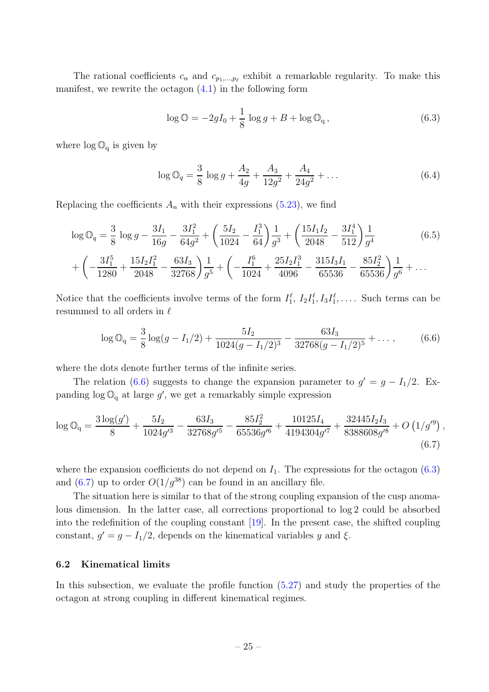The rational coefficients  $c_n$  and  $c_{p_1,\dots,p_\ell}$  exhibit a remarkable regularity. To make this manifest, we rewrite the octagon  $(4.1)$  in the following form

<span id="page-25-2"></span>
$$
\log \mathbb{O} = -2gI_0 + \frac{1}{8}\log g + B + \log \mathbb{O}_q, \qquad (6.3)
$$

where  $\log \mathbb{O}_q$  is given by

<span id="page-25-4"></span><span id="page-25-1"></span>
$$
\log \mathbb{O}_q = \frac{3}{8} \log g + \frac{A_2}{4g} + \frac{A_3}{12g^2} + \frac{A_4}{24g^2} + \dots \tag{6.4}
$$

Replacing the coefficients  $A_n$  with their expressions [\(5.23\)](#page-23-1), we find

$$
\log \mathbb{O}_q = \frac{3}{8} \log g - \frac{3I_1}{16g} - \frac{3I_1^2}{64g^2} + \left(\frac{5I_2}{1024} - \frac{I_1^3}{64}\right) \frac{1}{g^3} + \left(\frac{15I_1I_2}{2048} - \frac{3I_1^4}{512}\right) \frac{1}{g^4}
$$
(6.5)  
+  $\left(-\frac{3I_1^5}{1280} + \frac{15I_2I_1^2}{2048} - \frac{63I_3}{32768}\right) \frac{1}{g^5} + \left(-\frac{I_1^6}{1024} + \frac{25I_2I_1^3}{4096} - \frac{315I_3I_1}{65536} - \frac{85I_2^2}{65536}\right) \frac{1}{g^6} + \dots$ 

Notice that the coefficients involve terms of the form  $I_1^{\ell}, I_2 I_1^{\ell}, I_3 I_1^{\ell}, \ldots$ . Such terms can be resummed to all orders in  $\ell$ 

<span id="page-25-3"></span>
$$
\log \mathbb{O}_q = \frac{3}{8} \log(g - I_1/2) + \frac{5I_2}{1024(g - I_1/2)^3} - \frac{63I_3}{32768(g - I_1/2)^5} + \dots, \tag{6.6}
$$

where the dots denote further terms of the infinite series.

The relation [\(6.6\)](#page-25-1) suggests to change the expansion parameter to  $g' = g - I_1/2$ . Expanding  $\log \mathbb{O}_q$  at large  $g'$ , we get a remarkably simple expression

$$
\log \mathbb{O}_q = \frac{3 \log(g')}{8} + \frac{5I_2}{1024g'^3} - \frac{63I_3}{32768g'^5} - \frac{85I_2^2}{65536g'^6} + \frac{10125I_4}{4194304g'^7} + \frac{32445I_2I_3}{8388608g'^8} + O\left(\frac{1}{g'}\right),\tag{6.7}
$$

where the expansion coefficients do not depend on  $I_1$ . The expressions for the octagon  $(6.3)$ and [\(6.7\)](#page-25-3) up to order  $O(1/g^{38})$  can be found in an ancillary file.

The situation here is similar to that of the strong coupling expansion of the cusp anomalous dimension. In the latter case, all corrections proportional to log 2 could be absorbed into the redefinition of the coupling constant [\[19\]](#page-43-10). In the present case, the shifted coupling constant,  $g' = g - I_1/2$ , depends on the kinematical variables y and  $\xi$ .

#### <span id="page-25-0"></span>6.2 Kinematical limits

In this subsection, we evaluate the profile function [\(5.27\)](#page-24-2) and study the properties of the octagon at strong coupling in different kinematical regimes.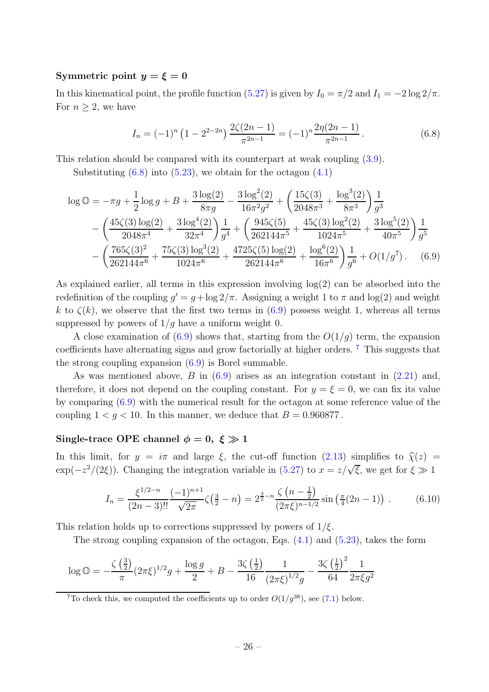#### Symmetric point  $y = \xi = 0$

In this kinematical point, the profile function [\(5.27\)](#page-24-2) is given by  $I_0 = \pi/2$  and  $I_1 = -2 \log 2/\pi$ . For  $n \geq 2$ , we have

<span id="page-26-1"></span><span id="page-26-0"></span>
$$
I_n = (-1)^n \left(1 - 2^{2-2n}\right) \frac{2\zeta(2n-1)}{\pi^{2n-1}} = (-1)^n \frac{2\eta(2n-1)}{\pi^{2n-1}}.
$$
 (6.8)

This relation should be compared with its counterpart at weak coupling [\(3.9\)](#page-13-3).

Substituting  $(6.8)$  into  $(5.23)$ , we obtain for the octagon  $(4.1)$ 

$$
\log \mathbb{O} = -\pi g + \frac{1}{2} \log g + B + \frac{3 \log(2)}{8\pi g} - \frac{3 \log^2(2)}{16\pi^2 g^2} + \left(\frac{15\zeta(3)}{2048\pi^3} + \frac{\log^3(2)}{8\pi^3}\right) \frac{1}{g^3}
$$

$$
- \left(\frac{45\zeta(3) \log(2)}{2048\pi^4} + \frac{3 \log^4(2)}{32\pi^4}\right) \frac{1}{g^4} + \left(\frac{945\zeta(5)}{262144\pi^5} + \frac{45\zeta(3) \log^2(2)}{1024\pi^5} + \frac{3 \log^5(2)}{40\pi^5}\right) \frac{1}{g^5}
$$

$$
- \left(\frac{765\zeta(3)^2}{262144\pi^6} + \frac{75\zeta(3) \log^3(2)}{1024\pi^6} + \frac{4725\zeta(5) \log(2)}{262144\pi^6} + \frac{\log^6(2)}{16\pi^6}\right) \frac{1}{g^6} + O(1/g^7). \quad (6.9)
$$

As explained earlier, all terms in this expression involving  $log(2)$  can be absorbed into the redefinition of the coupling  $g' = g + \log 2/\pi$ . Assigning a weight 1 to  $\pi$  and  $\log(2)$  and weight k to  $\zeta(k)$ , we observe that the first two terms in [\(6.9\)](#page-26-1) possess weight 1, whereas all terms suppressed by powers of  $1/q$  have a uniform weight 0.

A close examination of  $(6.9)$  shows that, starting from the  $O(1/g)$  term, the expansion coefficients have alternating signs and grow factorially at higher orders. [7](#page-26-2) This suggests that the strong coupling expansion [\(6.9\)](#page-26-1) is Borel summable.

As was mentioned above,  $B$  in  $(6.9)$  arises as an integration constant in  $(2.21)$  and, therefore, it does not depend on the coupling constant. For  $y = \xi = 0$ , we can fix its value by comparing [\(6.9\)](#page-26-1) with the numerical result for the octagon at some reference value of the coupling  $1 < g < 10$ . In this manner, we deduce that  $B = 0.960877$ .

## Single-trace OPE channel  $\phi = 0, \xi \gg 1$

In this limit, for  $y = i\pi$  and large  $\xi$ , the cut-off function [\(2.13\)](#page-8-2) simplifies to  $\hat{\chi}(z)$  =  $\exp(-z^2/(2\xi))$ . Changing the integration variable in [\(5.27\)](#page-24-2) to  $x = z/\sqrt{\xi}$ , we get for  $\xi \gg 1$ 

$$
I_n = \frac{\xi^{1/2 - n}}{(2n - 3)!!} \frac{(-1)^{n+1}}{\sqrt{2\pi}} \zeta\left(\frac{3}{2} - n\right) = 2^{\frac{3}{2} - n} \frac{\zeta\left(n - \frac{1}{2}\right)}{(2\pi\xi)^{n - 1/2}} \sin\left(\frac{\pi}{4}(2n - 1)\right) \,. \tag{6.10}
$$

This relation holds up to corrections suppressed by powers of  $1/\xi$ .

The strong coupling expansion of the octagon, Eqs.  $(4.1)$  and  $(5.23)$ , takes the form

$$
\log \mathbb{O} = -\frac{\zeta\left(\frac{3}{2}\right)}{\pi} (2\pi \xi)^{1/2} g + \frac{\log g}{2} + B - \frac{3\zeta\left(\frac{1}{2}\right)}{16} \frac{1}{\left(2\pi \xi\right)^{1/2} g} - \frac{3\zeta\left(\frac{1}{2}\right)^2}{64} \frac{1}{2\pi \xi g^2}
$$

<span id="page-26-2"></span><sup>7</sup>To check this, we computed the coefficients up to order  $O(1/q^{38})$ , see [\(7.1\)](#page-32-2) below.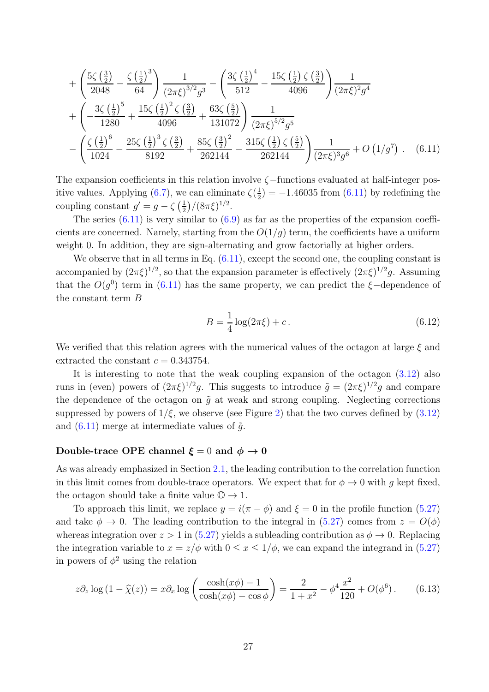$$
+\left(\frac{5\zeta\left(\frac{3}{2}\right)}{2048}-\frac{\zeta\left(\frac{1}{2}\right)^3}{64}\right)\frac{1}{\left(2\pi\xi\right)^{3/2}g^3}-\left(\frac{3\zeta\left(\frac{1}{2}\right)^4}{512}-\frac{15\zeta\left(\frac{1}{2}\right)\zeta\left(\frac{3}{2}\right)}{4096}\right)\frac{1}{\left(2\pi\xi\right)^2g^4} +\left(-\frac{3\zeta\left(\frac{1}{2}\right)^5}{1280}+\frac{15\zeta\left(\frac{1}{2}\right)^2\zeta\left(\frac{3}{2}\right)}{4096}+\frac{63\zeta\left(\frac{5}{2}\right)}{131072}\right)\frac{1}{\left(2\pi\xi\right)^{5/2}g^5} -\left(\frac{\zeta\left(\frac{1}{2}\right)^6}{1024}-\frac{25\zeta\left(\frac{1}{2}\right)^3\zeta\left(\frac{3}{2}\right)}{8192}+\frac{85\zeta\left(\frac{3}{2}\right)^2}{262144}-\frac{315\zeta\left(\frac{1}{2}\right)\zeta\left(\frac{5}{2}\right)}{262144}\right)\frac{1}{\left(2\pi\xi\right)^3g^6}+O\left(1/g^7\right). (6.11)
$$

The expansion coefficients in this relation involve  $\zeta$ -functions evaluated at half-integer pos-itive values. Applying [\(6.7\)](#page-25-3), we can eliminate  $\zeta(\frac{1}{2})$  $\frac{1}{2}$ ) = -1.46035 from [\(6.11\)](#page-27-0) by redefining the coupling constant  $g' = g - \zeta \left(\frac{1}{2}\right)$  $\frac{1}{2}$ )/ $(8\pi\xi)^{1/2}$ .

The series  $(6.11)$  is very similar to  $(6.9)$  as far as the properties of the expansion coefficients are concerned. Namely, starting from the  $O(1/q)$  term, the coefficients have a uniform weight 0. In addition, they are sign-alternating and grow factorially at higher orders.

We observe that in all terms in Eq.  $(6.11)$ , except the second one, the coupling constant is accompanied by  $(2\pi\xi)^{1/2}$ , so that the expansion parameter is effectively  $(2\pi\xi)^{1/2}g$ . Assuming that the  $O(g^0)$  term in [\(6.11\)](#page-27-0) has the same property, we can predict the  $\xi$ -dependence of the constant term B

<span id="page-27-0"></span>
$$
B = \frac{1}{4}\log(2\pi\xi) + c.
$$
 (6.12)

We verified that this relation agrees with the numerical values of the octagon at large  $\xi$  and extracted the constant  $c = 0.343754$ .

It is interesting to note that the weak coupling expansion of the octagon [\(3.12\)](#page-14-1) also runs in (even) powers of  $(2\pi\xi)^{1/2}g$ . This suggests to introduce  $\tilde{g} = (2\pi\xi)^{1/2}g$  and compare the dependence of the octagon on  $\tilde{q}$  at weak and strong coupling. Neglecting corrections suppressed by powers of  $1/\xi$ , we observe (see Figure [2\)](#page-28-0) that the two curves defined by  $(3.12)$ and  $(6.11)$  merge at intermediate values of  $\tilde{g}$ .

#### Double-trace OPE channel  $\xi = 0$  and  $\phi \to 0$

As was already emphasized in Section [2.1,](#page-5-0) the leading contribution to the correlation function in this limit comes from double-trace operators. We expect that for  $\phi \to 0$  with g kept fixed, the octagon should take a finite value  $\mathbb{O} \rightarrow 1$ .

To approach this limit, we replace  $y = i(\pi - \phi)$  and  $\xi = 0$  in the profile function [\(5.27\)](#page-24-2) and take  $\phi \to 0$ . The leading contribution to the integral in [\(5.27\)](#page-24-2) comes from  $z = O(\phi)$ whereas integration over  $z > 1$  in [\(5.27\)](#page-24-2) yields a subleading contribution as  $\phi \to 0$ . Replacing the integration variable to  $x = z/\phi$  with  $0 \le x \le 1/\phi$ , we can expand the integrand in [\(5.27\)](#page-24-2) in powers of  $\phi^2$  using the relation

$$
z\partial_z \log (1 - \widehat{\chi}(z)) = x\partial_x \log \left( \frac{\cosh(x\phi) - 1}{\cosh(x\phi) - \cos\phi} \right) = \frac{2}{1 + x^2} - \phi^4 \frac{x^2}{120} + O(\phi^6).
$$
 (6.13)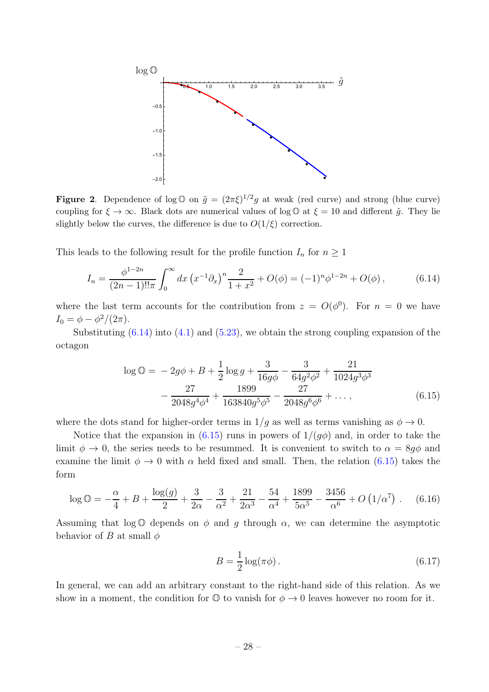

<span id="page-28-0"></span>**Figure 2.** Dependence of  $\log \mathbb{O}$  on  $\tilde{g} = (2\pi \xi)^{1/2}g$  at weak (red curve) and strong (blue curve) coupling for  $\xi \to \infty$ . Black dots are numerical values of log  $\mathbb{O}$  at  $\xi = 10$  and different  $\tilde{g}$ . They lie slightly below the curves, the difference is due to  $O(1/\xi)$  correction.

This leads to the following result for the profile function  $I_n$  for  $n \geq 1$ 

$$
I_n = \frac{\phi^{1-2n}}{(2n-1)!!\pi} \int_0^\infty dx \left(x^{-1}\partial_x\right)^n \frac{2}{1+x^2} + O(\phi) = (-1)^n \phi^{1-2n} + O(\phi) \,,\tag{6.14}
$$

where the last term accounts for the contribution from  $z = O(\phi^0)$ . For  $n = 0$  we have  $I_0 = \phi - \phi^2/(2\pi).$ 

Substituting  $(6.14)$  into  $(4.1)$  and  $(5.23)$ , we obtain the strong coupling expansion of the octagon

<span id="page-28-1"></span>
$$
\log \mathbb{O} = -2g\phi + B + \frac{1}{2}\log g + \frac{3}{16g\phi} - \frac{3}{64g^2\phi^2} + \frac{21}{1024g^3\phi^3} -\frac{27}{2048g^4\phi^4} + \frac{1899}{163840g^5\phi^5} - \frac{27}{2048g^6\phi^6} + \dots,
$$
\n(6.15)

where the dots stand for higher-order terms in  $1/g$  as well as terms vanishing as  $\phi \to 0$ .

Notice that the expansion in [\(6.15\)](#page-28-2) runs in powers of  $1/(q\phi)$  and, in order to take the limit  $\phi \to 0$ , the series needs to be resummed. It is convenient to switch to  $\alpha = 8g\phi$  and examine the limit  $\phi \to 0$  with  $\alpha$  held fixed and small. Then, the relation [\(6.15\)](#page-28-2) takes the form

$$
\log \mathbb{O} = -\frac{\alpha}{4} + B + \frac{\log(g)}{2} + \frac{3}{2\alpha} - \frac{3}{\alpha^2} + \frac{21}{2\alpha^3} - \frac{54}{\alpha^4} + \frac{1899}{5\alpha^5} - \frac{3456}{\alpha^6} + O\left(\frac{1}{\alpha^7}\right). \tag{6.16}
$$

Assuming that  $\log \mathcal{O}$  depends on  $\phi$  and g through  $\alpha$ , we can determine the asymptotic behavior of B at small  $\phi$ 

<span id="page-28-4"></span><span id="page-28-3"></span><span id="page-28-2"></span>
$$
B = \frac{1}{2}\log(\pi\phi). \tag{6.17}
$$

In general, we can add an arbitrary constant to the right-hand side of this relation. As we show in a moment, the condition for  $\mathbb{O}$  to vanish for  $\phi \to 0$  leaves however no room for it.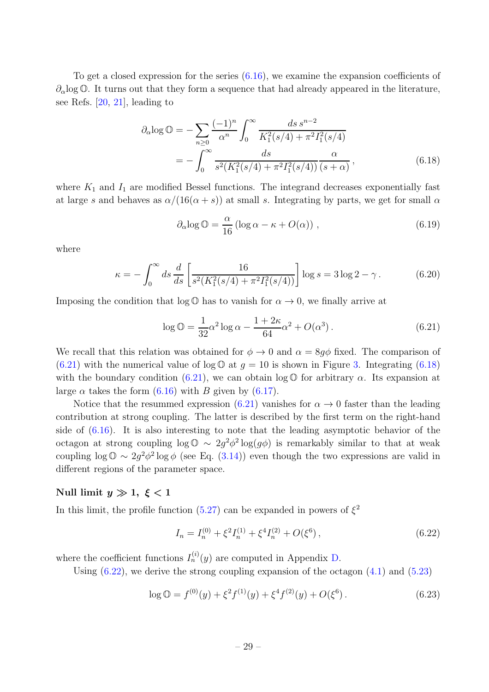To get a closed expression for the series [\(6.16\)](#page-28-3), we examine the expansion coefficients of  $\partial_{\alpha}$ log  $\mathbb{O}$ . It turns out that they form a sequence that had already appeared in the literature, see Refs. [\[20](#page-43-11), [21\]](#page-43-12), leading to

$$
\partial_{\alpha} \log \mathbb{O} = -\sum_{n\geq 0} \frac{(-1)^n}{\alpha^n} \int_0^{\infty} \frac{ds \, s^{n-2}}{K_1^2(s/4) + \pi^2 I_1^2(s/4)} \n= -\int_0^{\infty} \frac{ds}{s^2(K_1^2(s/4) + \pi^2 I_1^2(s/4))} \frac{\alpha}{(s+\alpha)},
$$
\n(6.18)

where  $K_1$  and  $I_1$  are modified Bessel functions. The integrand decreases exponentially fast at large s and behaves as  $\alpha/(16(\alpha + s))$  at small s. Integrating by parts, we get for small  $\alpha$ 

<span id="page-29-1"></span>
$$
\partial_{\alpha} \log \mathbb{O} = \frac{\alpha}{16} \left( \log \alpha - \kappa + O(\alpha) \right) , \qquad (6.19)
$$

where

$$
\kappa = -\int_0^\infty ds \, \frac{d}{ds} \left[ \frac{16}{s^2 (K_1^2 (s/4) + \pi^2 I_1^2 (s/4))} \right] \log s = 3 \log 2 - \gamma \,. \tag{6.20}
$$

Imposing the condition that  $\log \mathcal{O}$  has to vanish for  $\alpha \to 0$ , we finally arrive at

<span id="page-29-0"></span>
$$
\log \mathbb{O} = \frac{1}{32} \alpha^2 \log \alpha - \frac{1 + 2\kappa}{64} \alpha^2 + O(\alpha^3).
$$
 (6.21)

We recall that this relation was obtained for  $\phi \to 0$  and  $\alpha = 8g\phi$  fixed. The comparison of  $(6.21)$  with the numerical value of log  $\mathbb{O}$  at  $g = 10$  is shown in Figure [3.](#page-30-0) Integrating  $(6.18)$ with the boundary condition [\(6.21\)](#page-29-0), we can obtain  $\log \mathcal{O}$  for arbitrary  $\alpha$ . Its expansion at large  $\alpha$  takes the form [\(6.16\)](#page-28-3) with B given by [\(6.17\)](#page-28-4).

Notice that the resummed expression [\(6.21\)](#page-29-0) vanishes for  $\alpha \to 0$  faster than the leading contribution at strong coupling. The latter is described by the first term on the right-hand side of [\(6.16\)](#page-28-3). It is also interesting to note that the leading asymptotic behavior of the octagon at strong coupling  $\log \mathbb{O} \sim 2g^2 \phi^2 \log(g\phi)$  is remarkably similar to that at weak coupling  $\log \mathbb{O} \sim 2g^2 \phi^2 \log \phi$  (see Eq. [\(3.14\)](#page-14-2)) even though the two expressions are valid in different regions of the parameter space.

#### Null limit  $y \gg 1, \xi < 1$

In this limit, the profile function  $(5.27)$  can be expanded in powers of  $\xi^2$ 

<span id="page-29-3"></span><span id="page-29-2"></span>
$$
I_n = I_n^{(0)} + \xi^2 I_n^{(1)} + \xi^4 I_n^{(2)} + O(\xi^6), \qquad (6.22)
$$

where the coefficient functions  $I_n^{(i)}(y)$  are computed in Appendix [D.](#page-41-0)

Using  $(6.22)$ , we derive the strong coupling expansion of the octagon  $(4.1)$  and  $(5.23)$ 

$$
\log \mathbb{O} = f^{(0)}(y) + \xi^2 f^{(1)}(y) + \xi^4 f^{(2)}(y) + O(\xi^6) \,. \tag{6.23}
$$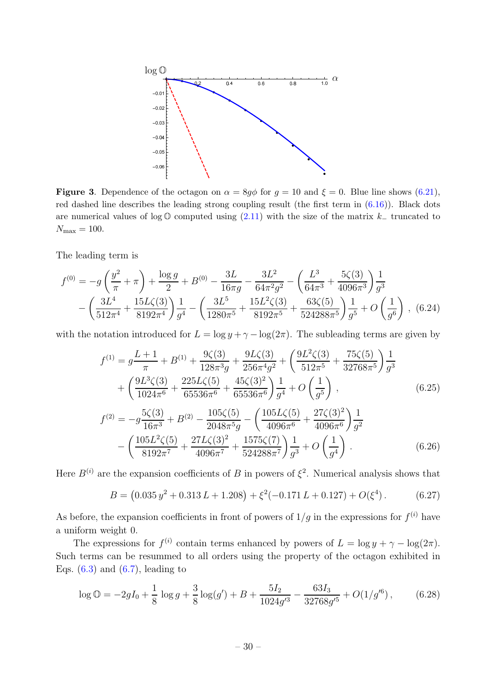

<span id="page-30-0"></span>**Figure 3.** Dependence of the octagon on  $\alpha = 8g\phi$  for  $g = 10$  and  $\xi = 0$ . Blue line shows [\(6.21\)](#page-29-0), red dashed line describes the leading strong coupling result (the first term in [\(6.16\)](#page-28-3)). Black dots are numerical values of log  $\mathbb{O}$  computed using [\(2.11\)](#page-7-6) with the size of the matrix  $k_$  truncated to  $N_{\text{max}} = 100.$ 

The leading term is

$$
f^{(0)} = -g\left(\frac{y^2}{\pi} + \pi\right) + \frac{\log g}{2} + B^{(0)} - \frac{3L}{16\pi g} - \frac{3L^2}{64\pi^2 g^2} - \left(\frac{L^3}{64\pi^3} + \frac{5\zeta(3)}{4096\pi^3}\right) \frac{1}{g^3} - \left(\frac{3L^4}{512\pi^4} + \frac{15L\zeta(3)}{8192\pi^4}\right) \frac{1}{g^4} - \left(\frac{3L^5}{1280\pi^5} + \frac{15L^2\zeta(3)}{8192\pi^5} + \frac{63\zeta(5)}{524288\pi^5}\right) \frac{1}{g^5} + O\left(\frac{1}{g^6}\right),
$$
 (6.24)

with the notation introduced for  $L = \log y + \gamma - \log(2\pi)$ . The subleading terms are given by

$$
f^{(1)} = g \frac{L+1}{\pi} + B^{(1)} + \frac{9\zeta(3)}{128\pi^3 g} + \frac{9L\zeta(3)}{256\pi^4 g^2} + \left(\frac{9L^2\zeta(3)}{512\pi^5} + \frac{75\zeta(5)}{32768\pi^5}\right) \frac{1}{g^3} + \left(\frac{9L^3\zeta(3)}{1024\pi^6} + \frac{225L\zeta(5)}{65536\pi^6} + \frac{45\zeta(3)^2}{65536\pi^6}\right) \frac{1}{g^4} + O\left(\frac{1}{g^5}\right) ,
$$
 (6.25)

$$
f^{(2)} = -g \frac{5\zeta(3)}{16\pi^3} + B^{(2)} - \frac{105\zeta(5)}{2048\pi^5 g} - \left(\frac{105L\zeta(5)}{4096\pi^6} + \frac{27\zeta(3)^2}{4096\pi^6}\right) \frac{1}{g^2}
$$

$$
-\left(\frac{105L^2\zeta(5)}{8192\pi^7} + \frac{27L\zeta(3)^2}{4096\pi^7} + \frac{1575\zeta(7)}{524288\pi^7}\right) \frac{1}{g^3} + O\left(\frac{1}{g^4}\right). \tag{6.26}
$$

Here  $B^{(i)}$  are the expansion coefficients of B in powers of  $\xi^2$ . Numerical analysis shows that

<span id="page-30-1"></span>
$$
B = (0.035 y2 + 0.313 L + 1.208) + \xi2(-0.171 L + 0.127) + O(\xi4).
$$
 (6.27)

As before, the expansion coefficients in front of powers of  $1/g$  in the expressions for  $f^{(i)}$  have a uniform weight 0.

The expressions for  $f^{(i)}$  contain terms enhanced by powers of  $L = \log y + \gamma - \log(2\pi)$ . Such terms can be resummed to all orders using the property of the octagon exhibited in Eqs.  $(6.3)$  and  $(6.7)$ , leading to

$$
\log \mathbb{O} = -2gI_0 + \frac{1}{8}\log g + \frac{3}{8}\log(g') + B + \frac{5I_2}{1024g'^3} - \frac{63I_3}{32768g'^5} + O(1/g'^6),\tag{6.28}
$$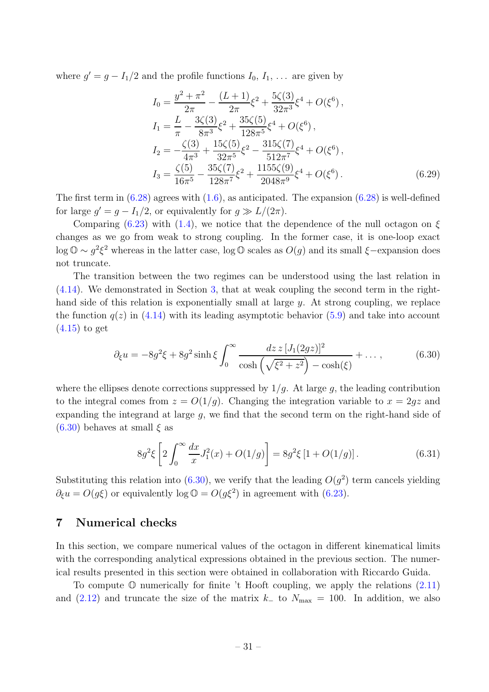where  $g' = g - I_1/2$  and the profile functions  $I_0, I_1, \ldots$  are given by

$$
I_0 = \frac{y^2 + \pi^2}{2\pi} - \frac{(L+1)}{2\pi} \xi^2 + \frac{5\zeta(3)}{32\pi^3} \xi^4 + O(\xi^6),
$$
  
\n
$$
I_1 = \frac{L}{\pi} - \frac{3\zeta(3)}{8\pi^3} \xi^2 + \frac{35\zeta(5)}{128\pi^5} \xi^4 + O(\xi^6),
$$
  
\n
$$
I_2 = -\frac{\zeta(3)}{4\pi^3} + \frac{15\zeta(5)}{32\pi^5} \xi^2 - \frac{315\zeta(7)}{512\pi^7} \xi^4 + O(\xi^6),
$$
  
\n
$$
I_3 = \frac{\zeta(5)}{16\pi^5} - \frac{35\zeta(7)}{128\pi^7} \xi^2 + \frac{1155\zeta(9)}{2048\pi^9} \xi^4 + O(\xi^6).
$$
 (6.29)

The first term in  $(6.28)$  agrees with  $(1.6)$ , as anticipated. The expansion  $(6.28)$  is well-defined for large  $g' = g - I_1/2$ , or equivalently for  $g \gg L/(2\pi)$ .

Comparing [\(6.23\)](#page-29-3) with [\(1.4\)](#page-3-0), we notice that the dependence of the null octagon on  $\xi$ changes as we go from weak to strong coupling. In the former case, it is one-loop exact log  $\mathbb{O} \sim g^2 \xi^2$  whereas in the latter case, log  $\mathbb{O}$  scales as  $O(g)$  and its small  $\xi$ -expansion does not truncate.

The transition between the two regimes can be understood using the last relation in [\(4.14\)](#page-18-4). We demonstrated in Section [3,](#page-12-0) that at weak coupling the second term in the righthand side of this relation is exponentially small at large y. At strong coupling, we replace the function  $q(z)$  in [\(4.14\)](#page-18-4) with its leading asymptotic behavior [\(5.9\)](#page-20-1) and take into account  $(4.15)$  to get

$$
\partial_{\xi} u = -8g^2 \xi + 8g^2 \sinh \xi \int_0^{\infty} \frac{dz \, z \, [J_1(2gz)]^2}{\cosh \left(\sqrt{\xi^2 + z^2}\right) - \cosh(\xi)} + \dots , \tag{6.30}
$$

where the ellipses denote corrections suppressed by  $1/g$ . At large g, the leading contribution to the integral comes from  $z = O(1/g)$ . Changing the integration variable to  $x = 2gz$  and expanding the integrand at large g, we find that the second term on the right-hand side of  $(6.30)$  behaves at small  $\xi$  as

<span id="page-31-1"></span>
$$
8g^{2}\xi \left[2\int_{0}^{\infty} \frac{dx}{x} J_{1}^{2}(x) + O(1/g)\right] = 8g^{2}\xi \left[1 + O(1/g)\right].
$$
 (6.31)

Substituting this relation into  $(6.30)$ , we verify that the leading  $O(g^2)$  term cancels yielding  $\partial_{\xi}u = O(g\xi)$  or equivalently  $\log \mathbb{O} = O(g\xi^2)$  in agreement with [\(6.23\)](#page-29-3).

## <span id="page-31-0"></span>7 Numerical checks

In this section, we compare numerical values of the octagon in different kinematical limits with the corresponding analytical expressions obtained in the previous section. The numerical results presented in this section were obtained in collaboration with Riccardo Guida.

To compute  $\mathbb O$  numerically for finite 't Hooft coupling, we apply the relations  $(2.11)$ and [\(2.12\)](#page-8-1) and truncate the size of the matrix  $k_$  to  $N_{\text{max}} = 100$ . In addition, we also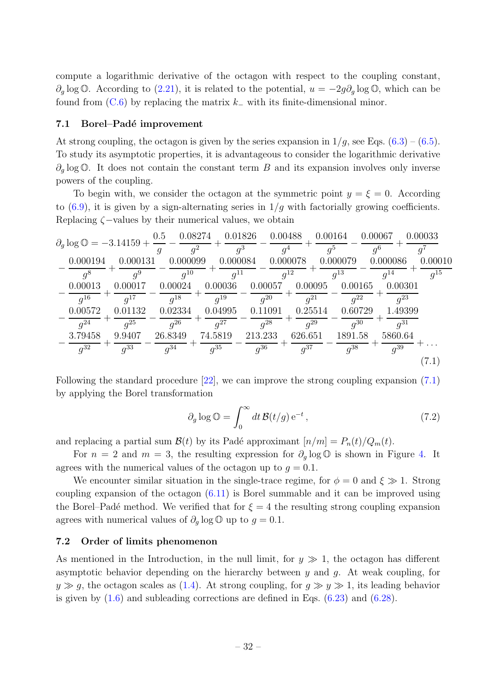compute a logarithmic derivative of the octagon with respect to the coupling constant,  $\partial_q \log \mathbb{O}$ . According to [\(2.21\)](#page-10-4), it is related to the potential,  $u = -2g\partial_q \log \mathbb{O}$ , which can be found from  $(C.6)$  by replacing the matrix  $k_$  with its finite-dimensional minor.

#### <span id="page-32-0"></span>7.1 Borel–Padé improvement

At strong coupling, the octagon is given by the series expansion in  $1/g$ , see Eqs.  $(6.3) - (6.5)$  $(6.3) - (6.5)$ . To study its asymptotic properties, it is advantageous to consider the logarithmic derivative  $\partial_q \log \mathbb{O}$ . It does not contain the constant term B and its expansion involves only inverse powers of the coupling.

To begin with, we consider the octagon at the symmetric point  $y = \xi = 0$ . According to  $(6.9)$ , it is given by a sign-alternating series in  $1/g$  with factorially growing coefficients. Replacing ζ−values by their numerical values, we obtain

$$
\partial_{g} \log \mathbb{O} = -3.14159 + \frac{0.5}{g} - \frac{0.08274}{g^{2}} + \frac{0.01826}{g^{3}} - \frac{0.00488}{g^{4}} + \frac{0.00164}{g^{5}} - \frac{0.00067}{g^{6}} + \frac{0.00033}{g^{7}} - \frac{0.000194}{g^{8}} + \frac{0.000131}{g^{9}} - \frac{0.000099}{g^{10}} + \frac{0.000084}{g^{11}} - \frac{0.000078}{g^{12}} + \frac{0.000079}{g^{13}} - \frac{0.000086}{g^{14}} + \frac{0.00013}{g^{15}} - \frac{0.00017}{g^{16}} + \frac{0.00017}{g^{17}} - \frac{0.00024}{g^{18}} + \frac{0.00036}{g^{19}} - \frac{0.00057}{g^{20}} + \frac{0.00095}{g^{21}} - \frac{0.00165}{g^{22}} + \frac{0.00301}{g^{23}} - \frac{0.00572}{g^{24}} + \frac{0.01132}{g^{25}} - \frac{0.02334}{g^{26}} + \frac{0.04995}{g^{27}} - \frac{0.11091}{g^{28}} + \frac{0.25514}{g^{29}} - \frac{0.60729}{g^{30}} + \frac{1.49399}{g^{31}} - \frac{3.79458}{g^{32}} + \frac{9.9407}{g^{33}} - \frac{26.8349}{g^{34}} + \frac{74.5819}{g^{35}} - \frac{213.233}{g^{36}} + \frac{626.651}{g^{37}} - \frac{1891.58}{g^{38}} + \frac{5860.64}{g^{39}} + \dots
$$
\n(7.1)

Following the standard procedure [\[22\]](#page-43-13), we can improve the strong coupling expansion [\(7.1\)](#page-32-2) by applying the Borel transformation

<span id="page-32-2"></span>
$$
\partial_g \log \mathbb{O} = \int_0^\infty dt \, \mathcal{B}(t/g) \, \mathrm{e}^{-t} \,, \tag{7.2}
$$

and replacing a partial sum  $\mathcal{B}(t)$  by its Padé approximant  $[n/m] = P_n(t)/Q_m(t)$ .

For  $n = 2$  and  $m = 3$ , the resulting expression for  $\partial_q \log \mathbb{O}$  is shown in Figure [4.](#page-33-1) It agrees with the numerical values of the octagon up to  $q = 0.1$ .

We encounter similar situation in the single-trace regime, for  $\phi = 0$  and  $\xi \gg 1$ . Strong coupling expansion of the octagon [\(6.11\)](#page-27-0) is Borel summable and it can be improved using the Borel–Padé method. We verified that for  $\xi = 4$  the resulting strong coupling expansion agrees with numerical values of  $\partial_q \log \mathbb{O}$  up to  $q = 0.1$ .

#### <span id="page-32-1"></span>7.2 Order of limits phenomenon

As mentioned in the Introduction, in the null limit, for  $y \gg 1$ , the octagon has different asymptotic behavior depending on the hierarchy between  $y$  and  $q$ . At weak coupling, for  $y \gg g$ , the octagon scales as [\(1.4\)](#page-3-0). At strong coupling, for  $g \gg y \gg 1$ , its leading behavior is given by  $(1.6)$  and subleading corrections are defined in Eqs.  $(6.23)$  and  $(6.28)$ .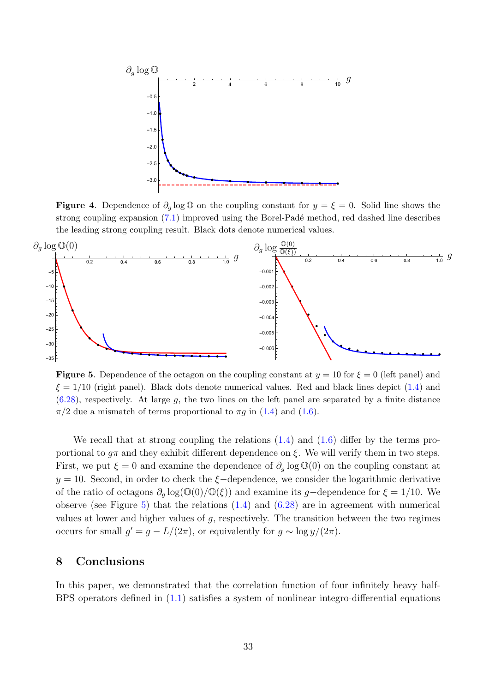

<span id="page-33-1"></span>**Figure 4.** Dependence of  $\partial_g \log \mathbb{O}$  on the coupling constant for  $y = \xi = 0$ . Solid line shows the strong coupling expansion  $(7.1)$  improved using the Borel-Padé method, red dashed line describes the leading strong coupling result. Black dots denote numerical values.



<span id="page-33-2"></span>**Figure 5.** Dependence of the octagon on the coupling constant at  $y = 10$  for  $\xi = 0$  (left panel) and  $\xi = 1/10$  (right panel). Black dots denote numerical values. Red and black lines depict [\(1.4\)](#page-3-0) and  $(6.28)$ , respectively. At large g, the two lines on the left panel are separated by a finite distance  $\pi/2$  due a mismatch of terms proportional to  $\pi g$  in [\(1.4\)](#page-3-0) and [\(1.6\)](#page-3-2).

We recall that at strong coupling the relations [\(1.4\)](#page-3-0) and [\(1.6\)](#page-3-2) differ by the terms proportional to  $g\pi$  and they exhibit different dependence on  $\xi$ . We will verify them in two steps. First, we put  $\xi = 0$  and examine the dependence of  $\partial_q \log \mathbb{O}(0)$  on the coupling constant at  $y = 10$ . Second, in order to check the  $\xi$ -dependence, we consider the logarithmic derivative of the ratio of octagons  $\partial_g \log(\mathbb{O}(0)/\mathbb{O}(\xi))$  and examine its g-dependence for  $\xi = 1/10$ . We observe (see Figure [5\)](#page-33-2) that the relations  $(1.4)$  and  $(6.28)$  are in agreement with numerical values at lower and higher values of  $q$ , respectively. The transition between the two regimes occurs for small  $g' = g - L/(2\pi)$ , or equivalently for  $g \sim \log y/(2\pi)$ .

## <span id="page-33-0"></span>8 Conclusions

In this paper, we demonstrated that the correlation function of four infinitely heavy half-BPS operators defined in [\(1.1\)](#page-2-1) satisfies a system of nonlinear integro-differential equations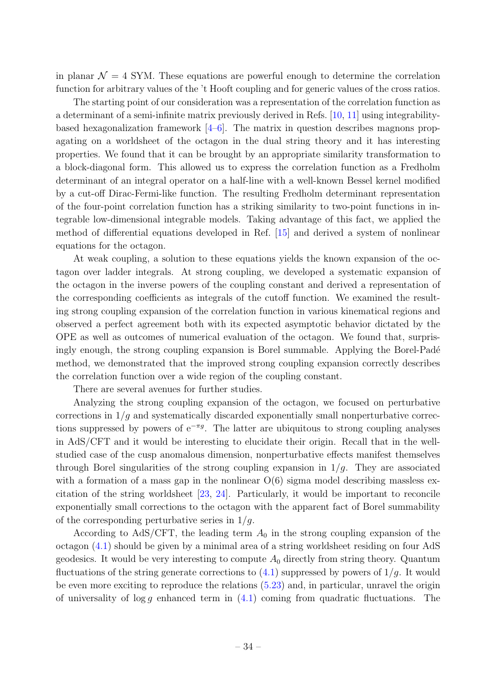in planar  $\mathcal{N} = 4$  SYM. These equations are powerful enough to determine the correlation function for arbitrary values of the 't Hooft coupling and for generic values of the cross ratios.

The starting point of our consideration was a representation of the correlation function as a determinant of a semi-infinite matrix previously derived in Refs. [\[10](#page-43-1), [11\]](#page-43-2) using integrabilitybased hexagonalization framework  $[4-6]$ . The matrix in question describes magnons propagating on a worldsheet of the octagon in the dual string theory and it has interesting properties. We found that it can be brought by an appropriate similarity transformation to a block-diagonal form. This allowed us to express the correlation function as a Fredholm determinant of an integral operator on a half-line with a well-known Bessel kernel modified by a cut-off Dirac-Fermi-like function. The resulting Fredholm determinant representation of the four-point correlation function has a striking similarity to two-point functions in integrable low-dimensional integrable models. Taking advantage of this fact, we applied the method of differential equations developed in Ref. [\[15](#page-43-6)] and derived a system of nonlinear equations for the octagon.

At weak coupling, a solution to these equations yields the known expansion of the octagon over ladder integrals. At strong coupling, we developed a systematic expansion of the octagon in the inverse powers of the coupling constant and derived a representation of the corresponding coefficients as integrals of the cutoff function. We examined the resulting strong coupling expansion of the correlation function in various kinematical regions and observed a perfect agreement both with its expected asymptotic behavior dictated by the OPE as well as outcomes of numerical evaluation of the octagon. We found that, surprisingly enough, the strong coupling expansion is Borel summable. Applying the Borel-Padé method, we demonstrated that the improved strong coupling expansion correctly describes the correlation function over a wide region of the coupling constant.

There are several avenues for further studies.

Analyzing the strong coupling expansion of the octagon, we focused on perturbative corrections in  $1/g$  and systematically discarded exponentially small nonperturbative corrections suppressed by powers of  $e^{-\pi g}$ . The latter are ubiquitous to strong coupling analyses in AdS/CFT and it would be interesting to elucidate their origin. Recall that in the wellstudied case of the cusp anomalous dimension, nonperturbative effects manifest themselves through Borel singularities of the strong coupling expansion in  $1/g$ . They are associated with a formation of a mass gap in the nonlinear  $O(6)$  sigma model describing massless excitation of the string worldsheet [\[23,](#page-43-14) [24](#page-43-15)]. Particularly, it would be important to reconcile exponentially small corrections to the octagon with the apparent fact of Borel summability of the corresponding perturbative series in  $1/q$ .

According to AdS/CFT, the leading term  $A_0$  in the strong coupling expansion of the octagon [\(4.1\)](#page-16-2) should be given by a minimal area of a string worldsheet residing on four AdS geodesics. It would be very interesting to compute  $A_0$  directly from string theory. Quantum fluctuations of the string generate corrections to  $(4.1)$  suppressed by powers of  $1/g$ . It would be even more exciting to reproduce the relations [\(5.23\)](#page-23-1) and, in particular, unravel the origin of universality of  $\log q$  enhanced term in [\(4.1\)](#page-16-2) coming from quadratic fluctuations. The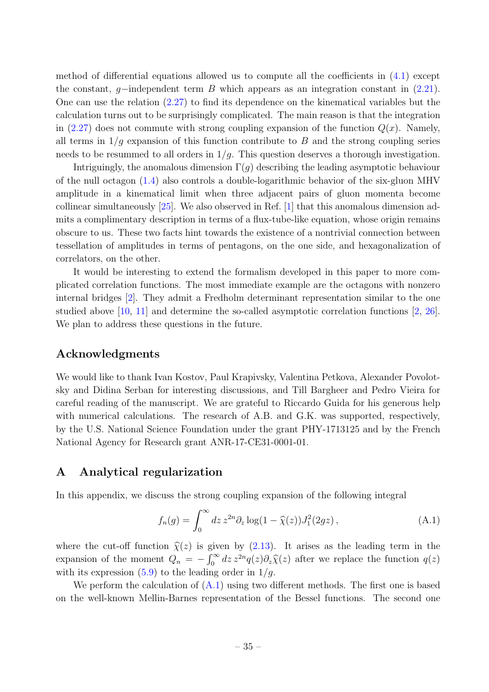method of differential equations allowed us to compute all the coefficients in [\(4.1\)](#page-16-2) except the constant, g-independent term B which appears as an integration constant in  $(2.21)$ . One can use the relation [\(2.27\)](#page-10-7) to find its dependence on the kinematical variables but the calculation turns out to be surprisingly complicated. The main reason is that the integration in [\(2.27\)](#page-10-7) does not commute with strong coupling expansion of the function  $Q(x)$ . Namely, all terms in  $1/g$  expansion of this function contribute to B and the strong coupling series needs to be resummed to all orders in  $1/g$ . This question deserves a thorough investigation.

Intriguingly, the anomalous dimension  $\Gamma(g)$  describing the leading asymptotic behaviour of the null octagon [\(1.4\)](#page-3-0) also controls a double-logarithmic behavior of the six-gluon MHV amplitude in a kinematical limit when three adjacent pairs of gluon momenta become collinear simultaneously [\[25\]](#page-43-16). We also observed in Ref. [\[1\]](#page-42-0) that this anomalous dimension admits a complimentary description in terms of a flux-tube-like equation, whose origin remains obscure to us. These two facts hint towards the existence of a nontrivial connection between tessellation of amplitudes in terms of pentagons, on the one side, and hexagonalization of correlators, on the other.

It would be interesting to extend the formalism developed in this paper to more complicated correlation functions. The most immediate example are the octagons with nonzero internal bridges [\[2](#page-42-1)]. They admit a Fredholm determinant representation similar to the one studied above [\[10,](#page-43-1) [11](#page-43-2)] and determine the so-called asymptotic correlation functions [\[2](#page-42-1), [26](#page-43-17)]. We plan to address these questions in the future.

## Acknowledgments

We would like to thank Ivan Kostov, Paul Krapivsky, Valentina Petkova, Alexander Povolotsky and Didina Serban for interesting discussions, and Till Bargheer and Pedro Vieira for careful reading of the manuscript. We are grateful to Riccardo Guida for his generous help with numerical calculations. The research of A.B. and G.K. was supported, respectively, by the U.S. National Science Foundation under the grant PHY-1713125 and by the French National Agency for Research grant ANR-17-CE31-0001-01.

## <span id="page-35-0"></span>A Analytical regularization

In this appendix, we discuss the strong coupling expansion of the following integral

<span id="page-35-1"></span>
$$
f_n(g) = \int_0^\infty dz \, z^{2n} \partial_z \log(1 - \widehat{\chi}(z)) J_1^2(2gz) \,, \tag{A.1}
$$

where the cut-off function  $\hat{\chi}(z)$  is given by [\(2.13\)](#page-8-2). It arises as the leading term in the expansion of the moment  $Q_n = -\int_0^\infty dz \, z^{2n} q(z) \partial_z \hat{\chi}(z)$  after we replace the function  $q(z)$ with its expression  $(5.9)$  to the leading order in  $1/q$ .

We perform the calculation of  $(A.1)$  using two different methods. The first one is based on the well-known Mellin-Barnes representation of the Bessel functions. The second one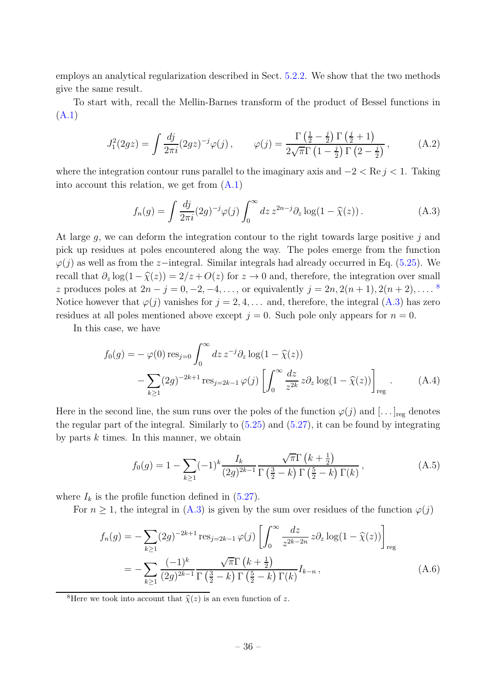employs an analytical regularization described in Sect. [5.2.2.](#page-23-0) We show that the two methods give the same result.

To start with, recall the Mellin-Barnes transform of the product of Bessel functions in [\(A.1\)](#page-35-1)

$$
J_1^2(2gz) = \int \frac{dj}{2\pi i} (2gz)^{-j} \varphi(j) , \qquad \varphi(j) = \frac{\Gamma\left(\frac{1}{2} - \frac{j}{2}\right) \Gamma\left(\frac{j}{2} + 1\right)}{2\sqrt{\pi} \Gamma\left(1 - \frac{j}{2}\right) \Gamma\left(2 - \frac{j}{2}\right)} , \tag{A.2}
$$

where the integration contour runs parallel to the imaginary axis and  $-2 < \text{Re } j < 1$ . Taking into account this relation, we get from  $(A.1)$ 

<span id="page-36-1"></span>
$$
f_n(g) = \int \frac{dj}{2\pi i} (2g)^{-j} \varphi(j) \int_0^\infty dz \, z^{2n-j} \partial_z \log(1 - \widehat{\chi}(z)). \tag{A.3}
$$

At large g, we can deform the integration contour to the right towards large positive j and pick up residues at poles encountered along the way. The poles emerge from the function  $\varphi(j)$  as well as from the z−integral. Similar integrals had already occurred in Eq. [\(5.25\)](#page-24-3). We recall that  $\partial_z \log(1-\hat{\chi}(z)) = 2/z + O(z)$  for  $z \to 0$  and, therefore, the integration over small z produces poles at  $2n - j = 0, -2, -4, \ldots$ , or equivalently  $j = 2n, 2(n + 1), 2(n + 2), \ldots$ . Notice however that  $\varphi(j)$  vanishes for  $j = 2, 4, \ldots$  and, therefore, the integral  $(A.3)$  has zero residues at all poles mentioned above except  $j = 0$ . Such pole only appears for  $n = 0$ .

In this case, we have

$$
f_0(g) = -\varphi(0) \operatorname{res}_{j=0} \int_0^\infty dz \, z^{-j} \partial_z \log(1 - \widehat{\chi}(z))
$$
  
 
$$
- \sum_{k \ge 1} (2g)^{-2k+1} \operatorname{res}_{j=2k-1} \varphi(j) \left[ \int_0^\infty \frac{dz}{z^{2k}} z \partial_z \log(1 - \widehat{\chi}(z)) \right]_{\text{reg}} . \tag{A.4}
$$

Here in the second line, the sum runs over the poles of the function  $\varphi(j)$  and  $[\dots]_{reg}$  denotes the regular part of the integral. Similarly to  $(5.25)$  and  $(5.27)$ , it can be found by integrating by parts  $k$  times. In this manner, we obtain

<span id="page-36-3"></span><span id="page-36-2"></span>
$$
f_0(g) = 1 - \sum_{k \ge 1} (-1)^k \frac{I_k}{(2g)^{2k-1}} \frac{\sqrt{\pi} \Gamma\left(k + \frac{1}{2}\right)}{\Gamma\left(\frac{3}{2} - k\right) \Gamma\left(\frac{5}{2} - k\right) \Gamma(k)},\tag{A.5}
$$

where  $I_k$  is the profile function defined in  $(5.27)$ .

For  $n \geq 1$ , the integral in [\(A.3\)](#page-36-1) is given by the sum over residues of the function  $\varphi(j)$ 

$$
f_n(g) = -\sum_{k\geq 1} (2g)^{-2k+1} \operatorname{res}_{j=2k-1} \varphi(j) \left[ \int_0^\infty \frac{dz}{z^{2k-2n}} z \partial_z \log(1-\widehat{\chi}(z)) \right]_{\text{reg}}
$$
  
= 
$$
-\sum_{k\geq 1} \frac{(-1)^k}{(2g)^{2k-1}} \frac{\sqrt{\pi} \Gamma(k+\frac{1}{2})}{\Gamma(\frac{3}{2}-k) \Gamma(\frac{5}{2}-k) \Gamma(k)} I_{k-n},
$$
 (A.6)

<span id="page-36-0"></span><sup>8</sup>Here we took into account that  $\hat{\chi}(z)$  is an even function of z.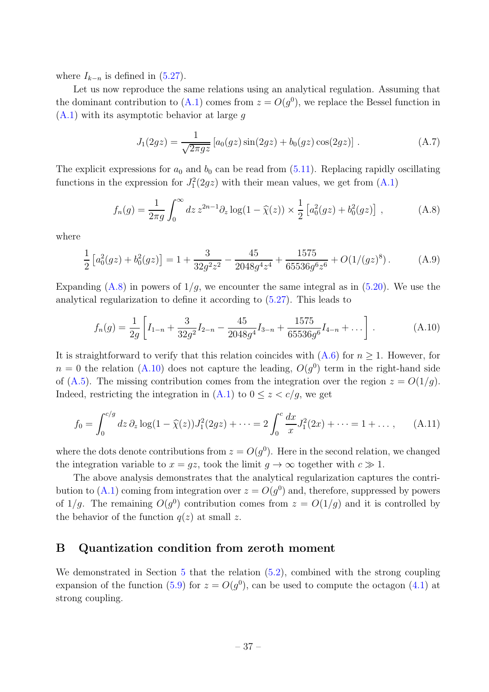where  $I_{k-n}$  is defined in  $(5.27)$ .

Let us now reproduce the same relations using an analytical regulation. Assuming that the dominant contribution to  $(A.1)$  comes from  $z = O(g^0)$ , we replace the Bessel function in  $(A.1)$  with its asymptotic behavior at large g

<span id="page-37-1"></span>
$$
J_1(2gz) = \frac{1}{\sqrt{2\pi gz}} \left[ a_0(gz)\sin(2gz) + b_0(gz)\cos(2gz) \right].
$$
 (A.7)

The explicit expressions for  $a_0$  and  $b_0$  can be read from [\(5.11\)](#page-21-1). Replacing rapidly oscillating functions in the expression for  $J_1^2(2gz)$  with their mean values, we get from  $(A.1)$ 

$$
f_n(g) = \frac{1}{2\pi g} \int_0^\infty dz \, z^{2n-1} \partial_z \log(1 - \widehat{\chi}(z)) \times \frac{1}{2} \left[ a_0^2(gz) + b_0^2(gz) \right] \,, \tag{A.8}
$$

where

$$
\frac{1}{2} \left[ a_0^2(gz) + b_0^2(gz) \right] = 1 + \frac{3}{32g^2 z^2} - \frac{45}{2048g^4 z^4} + \frac{1575}{65536g^6 z^6} + O(1/(gz)^8). \tag{A.9}
$$

Expanding  $(A.8)$  in powers of  $1/g$ , we encounter the same integral as in  $(5.20)$ . We use the analytical regularization to define it according to [\(5.27\)](#page-24-2). This leads to

<span id="page-37-2"></span>
$$
f_n(g) = \frac{1}{2g} \left[ I_{1-n} + \frac{3}{32g^2} I_{2-n} - \frac{45}{2048g^4} I_{3-n} + \frac{1575}{65536g^6} I_{4-n} + \dots \right].
$$
 (A.10)

It is straightforward to verify that this relation coincides with  $(A.6)$  for  $n \geq 1$ . However, for  $n = 0$  the relation [\(A.10\)](#page-37-2) does not capture the leading,  $O(g^0)$  term in the right-hand side of [\(A.5\)](#page-36-3). The missing contribution comes from the integration over the region  $z = O(1/g)$ . Indeed, restricting the integration in  $(A.1)$  to  $0 \le z \le c/g$ , we get

$$
f_0 = \int_0^{c/g} dz \, \partial_z \log(1 - \widehat{\chi}(z)) J_1^2(2gz) + \dots = 2 \int_0^c \frac{dx}{x} J_1^2(2x) + \dots = 1 + \dots, \tag{A.11}
$$

where the dots denote contributions from  $z = O(g^0)$ . Here in the second relation, we changed the integration variable to  $x = qz$ , took the limit  $q \to \infty$  together with  $c \gg 1$ .

The above analysis demonstrates that the analytical regularization captures the contri-bution to [\(A.1\)](#page-35-1) coming from integration over  $z = O(g^0)$  and, therefore, suppressed by powers of  $1/g$ . The remaining  $O(g^0)$  contribution comes from  $z = O(1/g)$  and it is controlled by the behavior of the function  $q(z)$  at small z.

## <span id="page-37-0"></span>B Quantization condition from zeroth moment

We demonstrated in Section  $5$  that the relation  $(5.2)$ , combined with the strong coupling expansion of the function [\(5.9\)](#page-20-1) for  $z = O(g^0)$ , can be used to compute the octagon [\(4.1\)](#page-16-2) at strong coupling.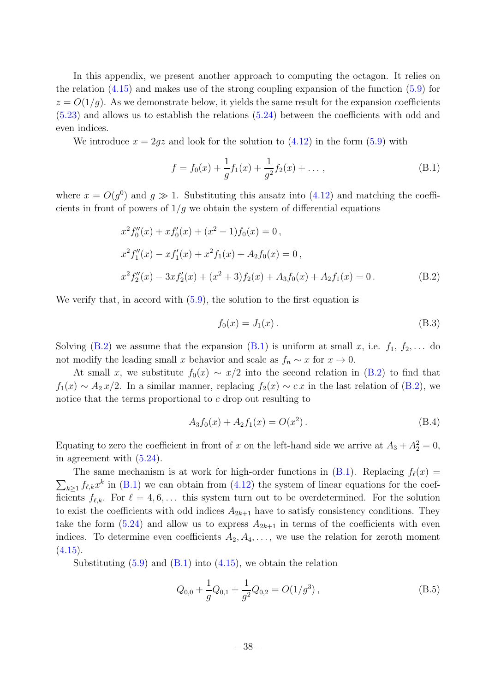In this appendix, we present another approach to computing the octagon. It relies on the relation [\(4.15\)](#page-18-5) and makes use of the strong coupling expansion of the function [\(5.9\)](#page-20-1) for  $z = O(1/g)$ . As we demonstrate below, it yields the same result for the expansion coefficients  $(5.23)$  and allows us to establish the relations  $(5.24)$  between the coefficients with odd and even indices.

We introduce  $x = 2gz$  and look for the solution to  $(4.12)$  in the form  $(5.9)$  with

<span id="page-38-1"></span>
$$
f = f_0(x) + \frac{1}{g}f_1(x) + \frac{1}{g^2}f_2(x) + \dots,
$$
 (B.1)

where  $x = O(g^0)$  and  $g \gg 1$ . Substituting this ansatz into [\(4.12\)](#page-18-3) and matching the coefficients in front of powers of  $1/g$  we obtain the system of differential equations

$$
x^{2} f_{0}''(x) + x f_{0}'(x) + (x^{2} - 1) f_{0}(x) = 0,
$$
  
\n
$$
x^{2} f_{1}''(x) - x f_{1}'(x) + x^{2} f_{1}(x) + A_{2} f_{0}(x) = 0,
$$
  
\n
$$
x^{2} f_{2}''(x) - 3x f_{2}'(x) + (x^{2} + 3) f_{2}(x) + A_{3} f_{0}(x) + A_{2} f_{1}(x) = 0.
$$
 (B.2)

We verify that, in accord with  $(5.9)$ , the solution to the first equation is

<span id="page-38-3"></span><span id="page-38-0"></span>
$$
f_0(x) = J_1(x). \tag{B.3}
$$

Solving [\(B.2\)](#page-38-0) we assume that the expansion [\(B.1\)](#page-38-1) is uniform at small x, i.e.  $f_1, f_2, \ldots$  do not modify the leading small x behavior and scale as  $f_n \sim x$  for  $x \to 0$ .

At small x, we substitute  $f_0(x) \sim x/2$  into the second relation in [\(B.2\)](#page-38-0) to find that  $f_1(x) \sim A_2 x/2$ . In a similar manner, replacing  $f_2(x) \sim c x$  in the last relation of [\(B.2\)](#page-38-0), we notice that the terms proportional to c drop out resulting to

$$
A_3 f_0(x) + A_2 f_1(x) = O(x^2).
$$
 (B.4)

Equating to zero the coefficient in front of x on the left-hand side we arrive at  $A_3 + A_2^2 = 0$ , in agreement with [\(5.24\)](#page-23-2).

The same mechanism is at work for high-order functions in  $(B.1)$ . Replacing  $f_{\ell}(x)$  $\sum_{k\geq 1} f_{\ell,k} x^k$  in [\(B.1\)](#page-38-1) we can obtain from [\(4.12\)](#page-18-3) the system of linear equations for the coefficients  $f_{\ell,k}$ . For  $\ell = 4, 6, \ldots$  this system turn out to be overdetermined. For the solution to exist the coefficients with odd indices  $A_{2k+1}$  have to satisfy consistency conditions. They take the form  $(5.24)$  and allow us to express  $A_{2k+1}$  in terms of the coefficients with even indices. To determine even coefficients  $A_2, A_4, \ldots$ , we use the relation for zeroth moment  $(4.15).$  $(4.15).$ 

Substituting  $(5.9)$  and  $(B.1)$  into  $(4.15)$ , we obtain the relation

<span id="page-38-2"></span>
$$
Q_{0,0} + \frac{1}{g}Q_{0,1} + \frac{1}{g^2}Q_{0,2} = O(1/g^3),
$$
\n(B.5)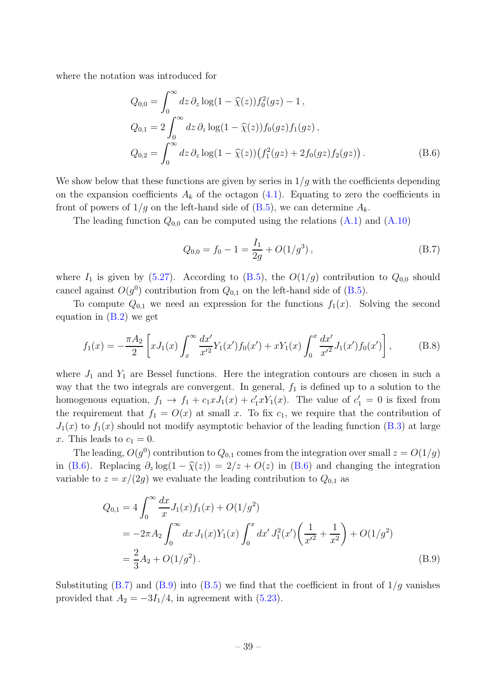where the notation was introduced for

$$
Q_{0,0} = \int_0^\infty dz \, \partial_z \log(1 - \hat{\chi}(z)) f_0^2(gz) - 1,
$$
  
\n
$$
Q_{0,1} = 2 \int_0^\infty dz \, \partial_z \log(1 - \hat{\chi}(z)) f_0(gz) f_1(gz),
$$
  
\n
$$
Q_{0,2} = \int_0^\infty dz \, \partial_z \log(1 - \hat{\chi}(z)) (f_1^2(gz) + 2f_0(gz) f_2(gz)).
$$
\n(B.6)

We show below that these functions are given by series in  $1/g$  with the coefficients depending on the expansion coefficients  $A_k$  of the octagon  $(4.1)$ . Equating to zero the coefficients in front of powers of  $1/g$  on the left-hand side of  $(B.5)$ , we can determine  $A_k$ .

The leading function  $Q_{0,0}$  can be computed using the relations  $(A.1)$  and  $(A.10)$ 

<span id="page-39-1"></span><span id="page-39-0"></span>
$$
Q_{0,0} = f_0 - 1 = \frac{I_1}{2g} + O(1/g^3) , \qquad (B.7)
$$

where  $I_1$  is given by [\(5.27\)](#page-24-2). According to [\(B.5\)](#page-38-2), the  $O(1/g)$  contribution to  $Q_{0,0}$  should cancel against  $O(g^0)$  contribution from  $Q_{0,1}$  on the left-hand side of [\(B.5\)](#page-38-2).

To compute  $Q_{0,1}$  we need an expression for the functions  $f_1(x)$ . Solving the second equation in  $(B.2)$  we get

$$
f_1(x) = -\frac{\pi A_2}{2} \left[ x J_1(x) \int_x^{\infty} \frac{dx'}{x'^2} Y_1(x') f_0(x') + x Y_1(x) \int_0^x \frac{dx'}{x'^2} J_1(x') f_0(x') \right],
$$
 (B.8)

where  $J_1$  and  $Y_1$  are Bessel functions. Here the integration contours are chosen in such a way that the two integrals are convergent. In general,  $f_1$  is defined up to a solution to the homogenous equation,  $f_1 \rightarrow f_1 + c_1 x J_1(x) + c'_1 x Y_1(x)$ . The value of  $c'_1 = 0$  is fixed from the requirement that  $f_1 = O(x)$  at small x. To fix  $c_1$ , we require that the contribution of  $J_1(x)$  to  $f_1(x)$  should not modify asymptotic behavior of the leading function [\(B.3\)](#page-38-3) at large x. This leads to  $c_1 = 0$ .

The leading,  $O(g^0)$  contribution to  $Q_{0,1}$  comes from the integration over small  $z = O(1/g)$ in [\(B.6\)](#page-39-0). Replacing  $\partial_z \log(1 - \hat{\chi}(z)) = 2/z + O(z)$  in (B.6) and changing the integration variable to  $z = x/(2g)$  we evaluate the leading contribution to  $Q_{0,1}$  as

<span id="page-39-2"></span>
$$
Q_{0,1} = 4 \int_0^\infty \frac{dx}{x} J_1(x) f_1(x) + O(1/g^2)
$$
  
=  $-2\pi A_2 \int_0^\infty dx J_1(x) Y_1(x) \int_0^x dx' J_1^2(x') \left(\frac{1}{x'^2} + \frac{1}{x^2}\right) + O(1/g^2)$   
=  $\frac{2}{3} A_2 + O(1/g^2)$ . (B.9)

Substituting  $(B.7)$  and  $(B.9)$  into  $(B.5)$  we find that the coefficient in front of  $1/g$  vanishes provided that  $A_2 = -3I_1/4$ , in agreement with [\(5.23\)](#page-23-1).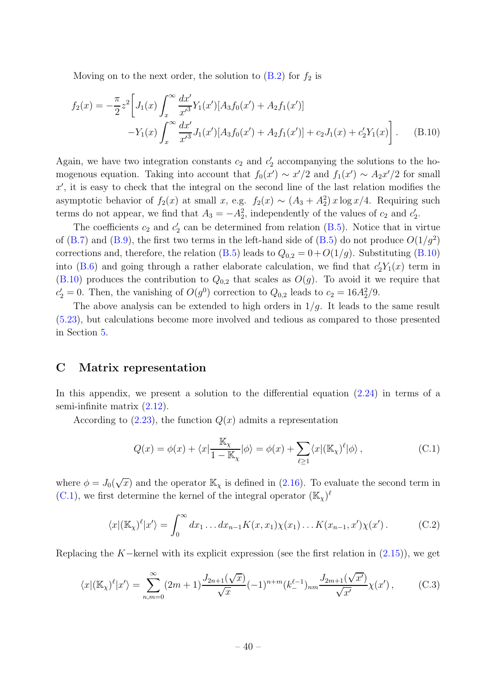Moving on to the next order, the solution to  $(B.2)$  for  $f_2$  is

<span id="page-40-1"></span>
$$
f_2(x) = -\frac{\pi}{2} z^2 \left[ J_1(x) \int_x^\infty \frac{dx'}{x'^3} Y_1(x') [A_3 f_0(x') + A_2 f_1(x') ] -Y_1(x) \int_x^\infty \frac{dx'}{x'^3} J_1(x') [A_3 f_0(x') + A_2 f_1(x')] + c_2 J_1(x) + c_2' Y_1(x) \right].
$$
 (B.10)

Again, we have two integration constants  $c_2$  and  $c'_2$  accompanying the solutions to the homogenous equation. Taking into account that  $f_0(x') \sim x'/2$  and  $f_1(x') \sim A_2 x'/2$  for small  $x'$ , it is easy to check that the integral on the second line of the last relation modifies the asymptotic behavior of  $f_2(x)$  at small x, e.g.  $f_2(x) \sim (A_3 + A_2^2) x \log x/4$ . Requiring such terms do not appear, we find that  $A_3 = -A_2^2$ , independently of the values of  $c_2$  and  $c_2'$ .

The coefficients  $c_2$  and  $c'_2$  can be determined from relation [\(B.5\)](#page-38-2). Notice that in virtue of [\(B.7\)](#page-39-1) and [\(B.9\)](#page-39-2), the first two terms in the left-hand side of [\(B.5\)](#page-38-2) do not produce  $O(1/g^2)$ corrections and, therefore, the relation  $(B.5)$  leads to  $Q_{0,2} = 0 + O(1/g)$ . Substituting  $(B.10)$ into [\(B.6\)](#page-39-0) and going through a rather elaborate calculation, we find that  $c'_2Y_1(x)$  term in  $(B.10)$  produces the contribution to  $Q_{0,2}$  that scales as  $O(g)$ . To avoid it we require that  $c'_2 = 0$ . Then, the vanishing of  $O(g^0)$  correction to  $Q_{0,2}$  leads to  $c_2 = 16A_2^2/9$ .

The above analysis can be extended to high orders in  $1/g$ . It leads to the same result [\(5.23\)](#page-23-1), but calculations become more involved and tedious as compared to those presented in Section [5.](#page-18-1)

## <span id="page-40-0"></span>C Matrix representation

In this appendix, we present a solution to the differential equation  $(2.24)$  in terms of a semi-infinite matrix [\(2.12\)](#page-8-1).

According to  $(2.23)$ , the function  $Q(x)$  admits a representation

<span id="page-40-2"></span>
$$
Q(x) = \phi(x) + \langle x | \frac{\mathbb{K}_\chi}{1 - \mathbb{K}_\chi} | \phi \rangle = \phi(x) + \sum_{\ell \ge 1} \langle x | (\mathbb{K}_\chi)^\ell | \phi \rangle , \tag{C.1}
$$

where  $\phi = J_0(\sqrt{x})$  and the operator  $\mathbb{K}_{\chi}$  is defined in [\(2.16\)](#page-9-3). To evaluate the second term in [\(C.1\)](#page-40-2), we first determine the kernel of the integral operator  $(\mathbb{K}_{\chi})^{\ell}$ 

$$
\langle x|(\mathbb{K}_{\chi})^{\ell}|x'\rangle = \int_0^{\infty} dx_1 \dots dx_{n-1} K(x, x_1) \chi(x_1) \dots K(x_{n-1}, x') \chi(x'). \tag{C.2}
$$

Replacing the K−kernel with its explicit expression (see the first relation in  $(2.15)$ ), we get

$$
\langle x | (\mathbb{K}_{\chi})^{\ell} | x' \rangle = \sum_{n,m=0}^{\infty} (2m+1) \frac{J_{2n+1}(\sqrt{x})}{\sqrt{x}} (-1)^{n+m} (k_{-}^{\ell-1})_{nm} \frac{J_{2m+1}(\sqrt{x'})}{\sqrt{x'}} \chi(x'), \qquad (C.3)
$$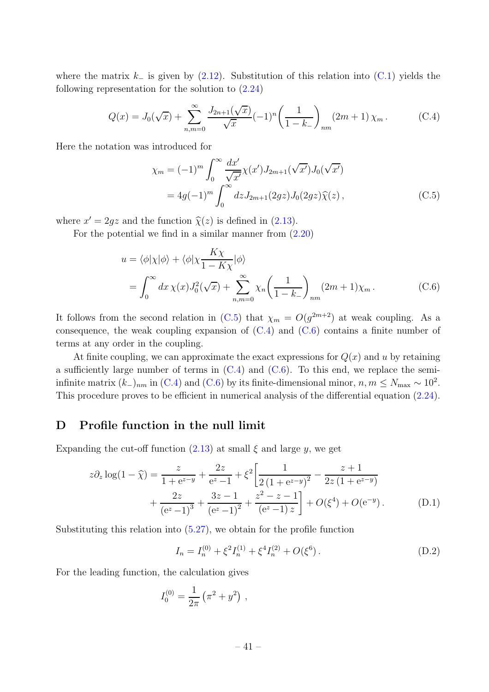where the matrix  $k_-\$  is given by [\(2.12\)](#page-8-1). Substitution of this relation into [\(C.1\)](#page-40-2) yields the following representation for the solution to  $(2.24)$ 

$$
Q(x) = J_0(\sqrt{x}) + \sum_{n,m=0}^{\infty} \frac{J_{2n+1}(\sqrt{x})}{\sqrt{x}} (-1)^n \left(\frac{1}{1-k_{-}}\right)_{nm} (2m+1) \chi_m.
$$
 (C.4)

Here the notation was introduced for

<span id="page-41-3"></span><span id="page-41-2"></span><span id="page-41-1"></span>
$$
\chi_m = (-1)^m \int_0^\infty \frac{dx'}{\sqrt{x'}} \chi(x') J_{2m+1}(\sqrt{x'}) J_0(\sqrt{x'})
$$
  
=  $4g(-1)^m \int_0^\infty dz J_{2m+1}(2gz) J_0(2gz) \hat{\chi}(z)$ , (C.5)

where  $x' = 2gz$  and the function  $\hat{\chi}(z)$  is defined in [\(2.13\)](#page-8-2).

For the potential we find in a similar manner from [\(2.20\)](#page-10-0)

$$
u = \langle \phi | \chi | \phi \rangle + \langle \phi | \chi \frac{K \chi}{1 - K \chi} | \phi \rangle
$$
  
= 
$$
\int_0^\infty dx \, \chi(x) J_0^2(\sqrt{x}) + \sum_{n,m=0}^\infty \chi_n \left( \frac{1}{1 - k_-} \right)_{nm} (2m + 1) \chi_m.
$$
 (C.6)

It follows from the second relation in [\(C.5\)](#page-41-3) that  $\chi_m = O(g^{2m+2})$  at weak coupling. As a consequence, the weak coupling expansion of  $(C.4)$  and  $(C.6)$  contains a finite number of terms at any order in the coupling.

At finite coupling, we can approximate the exact expressions for  $Q(x)$  and u by retaining a sufficiently large number of terms in  $(C.4)$  and  $(C.6)$ . To this end, we replace the semiinfinite matrix  $(k_-)_{nm}$  in [\(C.4\)](#page-41-1) and [\(C.6\)](#page-41-2) by its finite-dimensional minor,  $n, m \le N_{\text{max}} \sim 10^2$ . This procedure proves to be efficient in numerical analysis of the differential equation [\(2.24\)](#page-10-3).

## <span id="page-41-0"></span>D Profile function in the null limit

Expanding the cut-off function  $(2.13)$  at small  $\xi$  and large y, we get

$$
z\partial_z \log(1-\widehat{\chi}) = \frac{z}{1+e^{z-y}} + \frac{2z}{e^z-1} + \xi^2 \left[ \frac{1}{2\left(1+e^{z-y}\right)^2} - \frac{z+1}{2z\left(1+e^{z-y}\right)} + \frac{2z}{\left(e^z-1\right)^3} + \frac{3z-1}{\left(e^z-1\right)^2} + \frac{z^2-z-1}{\left(e^z-1\right)z} \right] + O(\xi^4) + O(e^{-y}). \tag{D.1}
$$

Substituting this relation into [\(5.27\)](#page-24-2), we obtain for the profile function

<span id="page-41-4"></span>
$$
I_n = I_n^{(0)} + \xi^2 I_n^{(1)} + \xi^4 I_n^{(2)} + O(\xi^6) \,. \tag{D.2}
$$

For the leading function, the calculation gives

$$
I_0^{(0)} = \frac{1}{2\pi} \left( \pi^2 + y^2 \right) ,
$$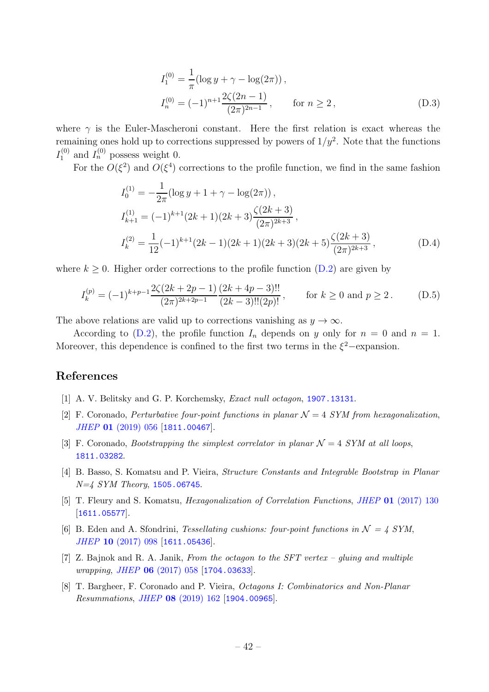$$
I_1^{(0)} = \frac{1}{\pi} (\log y + \gamma - \log(2\pi)),
$$
  
\n
$$
I_n^{(0)} = (-1)^{n+1} \frac{2\zeta(2n-1)}{(2\pi)^{2n-1}}, \quad \text{for } n \ge 2,
$$
\n(D.3)

where  $\gamma$  is the Euler-Mascheroni constant. Here the first relation is exact whereas the remaining ones hold up to corrections suppressed by powers of  $1/y^2$ . Note that the functions  $I_1^{(0)}$  and  $I_n^{(0)}$  possess weight 0.

For the  $O(\xi^2)$  and  $O(\xi^4)$  corrections to the profile function, we find in the same fashion

$$
I_0^{(1)} = -\frac{1}{2\pi} (\log y + 1 + \gamma - \log(2\pi)),
$$
  
\n
$$
I_{k+1}^{(1)} = (-1)^{k+1} (2k+1) (2k+3) \frac{\zeta(2k+3)}{(2\pi)^{2k+3}},
$$
  
\n
$$
I_k^{(2)} = \frac{1}{12} (-1)^{k+1} (2k-1) (2k+1) (2k+3) (2k+5) \frac{\zeta(2k+3)}{(2\pi)^{2k+3}},
$$
\n(D.4)

where  $k \geq 0$ . Higher order corrections to the profile function  $(D.2)$  are given by

$$
I_k^{(p)} = (-1)^{k+p-1} \frac{2\zeta(2k+2p-1)}{(2\pi)^{2k+2p-1}} \frac{(2k+4p-3)!!}{(2k-3)!!(2p)!}, \quad \text{for } k \ge 0 \text{ and } p \ge 2. \tag{D.5}
$$

The above relations are valid up to corrections vanishing as  $y \to \infty$ .

According to [\(D.2\)](#page-41-4), the profile function  $I_n$  depends on y only for  $n = 0$  and  $n = 1$ . Moreover, this dependence is confined to the first two terms in the  $\xi^2$ -expansion.

## References

- <span id="page-42-0"></span>[1] A. V. Belitsky and G. P. Korchemsky, *Exact null octagon*, [1907.13131](https://arxiv.org/abs/1907.13131).
- <span id="page-42-1"></span>[2] F. Coronado, *Perturbative four-point functions in planar*  $\mathcal{N} = 4$  *SYM from hexagonalization*, JHEP 01 [\(2019\) 056](https://doi.org/10.1007/JHEP01(2019)056) [[1811.00467](https://arxiv.org/abs/1811.00467)].
- <span id="page-42-2"></span>[3] F. Coronado, *Bootstrapping the simplest correlator in planar*  $\mathcal{N} = 4$  *SYM at all loops*, [1811.03282](https://arxiv.org/abs/1811.03282).
- <span id="page-42-3"></span>[4] B. Basso, S. Komatsu and P. Vieira, Structure Constants and Integrable Bootstrap in Planar N=4 SYM Theory, [1505.06745](https://arxiv.org/abs/1505.06745).
- [5] T. Fleury and S. Komatsu, Hexagonalization of Correlation Functions, JHEP 01 [\(2017\) 130](https://doi.org/10.1007/JHEP01(2017)130) [[1611.05577](https://arxiv.org/abs/1611.05577)].
- <span id="page-42-6"></span>[6] B. Eden and A. Sfondrini, Tessellating cushions: four-point functions in  $\mathcal{N} = 4$  SYM, JHEP 10 [\(2017\) 098](https://doi.org/10.1007/JHEP10(2017)098) [[1611.05436](https://arxiv.org/abs/1611.05436)].
- <span id="page-42-4"></span>[7] Z. Bajnok and R. A. Janik, From the octagon to the SFT vertex – gluing and multiple wrapping, JHEP 06 [\(2017\) 058](https://doi.org/10.1007/JHEP06(2017)058) [[1704.03633](https://arxiv.org/abs/1704.03633)].
- <span id="page-42-5"></span>[8] T. Bargheer, F. Coronado and P. Vieira, Octagons I: Combinatorics and Non-Planar Resummations, JHEP 08 [\(2019\) 162](https://doi.org/10.1007/JHEP08(2019)162) [[1904.00965](https://arxiv.org/abs/1904.00965)].